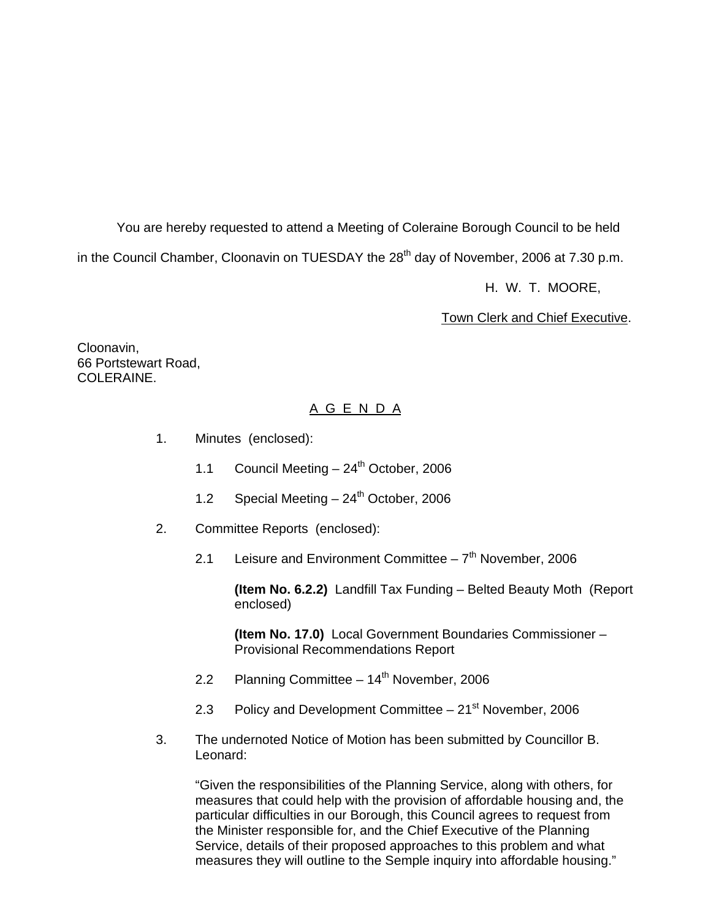You are hereby requested to attend a Meeting of Coleraine Borough Council to be held

in the Council Chamber, Cloonavin on TUESDAY the 28<sup>th</sup> day of November, 2006 at 7.30 p.m.

H. W. T. MOORE,

Town Clerk and Chief Executive.

Cloonavin, 66 Portstewart Road, COLERAINE.

# A G E N D A

- 1. Minutes (enclosed):
	- 1.1 Council Meeting  $-24^{\text{th}}$  October, 2006
	- 1.2 Special Meeting  $-24^{th}$  October, 2006
- 2. Committee Reports (enclosed):
	- 2.1 Leisure and Environment Committee  $-7<sup>th</sup>$  November, 2006

 **(Item No. 6.2.2)** Landfill Tax Funding – Belted Beauty Moth (Report enclosed)

**(Item No. 17.0)** Local Government Boundaries Commissioner – Provisional Recommendations Report

- 2.2 Planning Committee  $-14<sup>th</sup>$  November, 2006
- 2.3 Policy and Development Committee  $-21<sup>st</sup>$  November, 2006
- 3. The undernoted Notice of Motion has been submitted by Councillor B. Leonard:

 "Given the responsibilities of the Planning Service, along with others, for measures that could help with the provision of affordable housing and, the particular difficulties in our Borough, this Council agrees to request from the Minister responsible for, and the Chief Executive of the Planning Service, details of their proposed approaches to this problem and what measures they will outline to the Semple inquiry into affordable housing."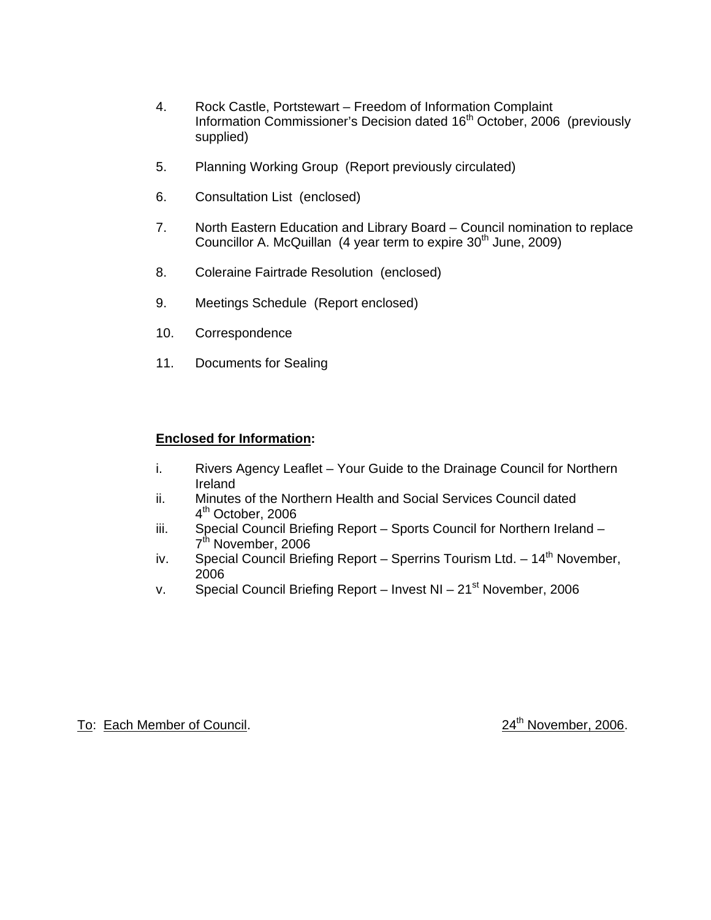- 4. Rock Castle, Portstewart Freedom of Information Complaint Information Commissioner's Decision dated 16<sup>th</sup> October, 2006 (previously supplied)
- 5. Planning Working Group (Report previously circulated)
- 6. Consultation List (enclosed)
- 7. North Eastern Education and Library Board Council nomination to replace Councillor A. McQuillan  $(4 \text{ year term to expire } 30^{\text{th}})$  June, 2009)
- 8. Coleraine Fairtrade Resolution (enclosed)
- 9. Meetings Schedule (Report enclosed)
- 10. Correspondence
- 11. Documents for Sealing

### **Enclosed for Information:**

- i. Rivers Agency Leaflet Your Guide to the Drainage Council for Northern Ireland
- ii. Minutes of the Northern Health and Social Services Council dated 4<sup>th</sup> October, 2006
- iii. Special Council Briefing Report Sports Council for Northern Ireland 7<sup>th</sup> November, 2006
- iv. Special Council Briefing Report Sperrins Tourism Ltd.  $14<sup>th</sup>$  November, 2006
- v. Special Council Briefing Report Invest NI  $21<sup>st</sup>$  November, 2006

To: Each Member of Council. 2006. 24<sup>th</sup> November, 2006.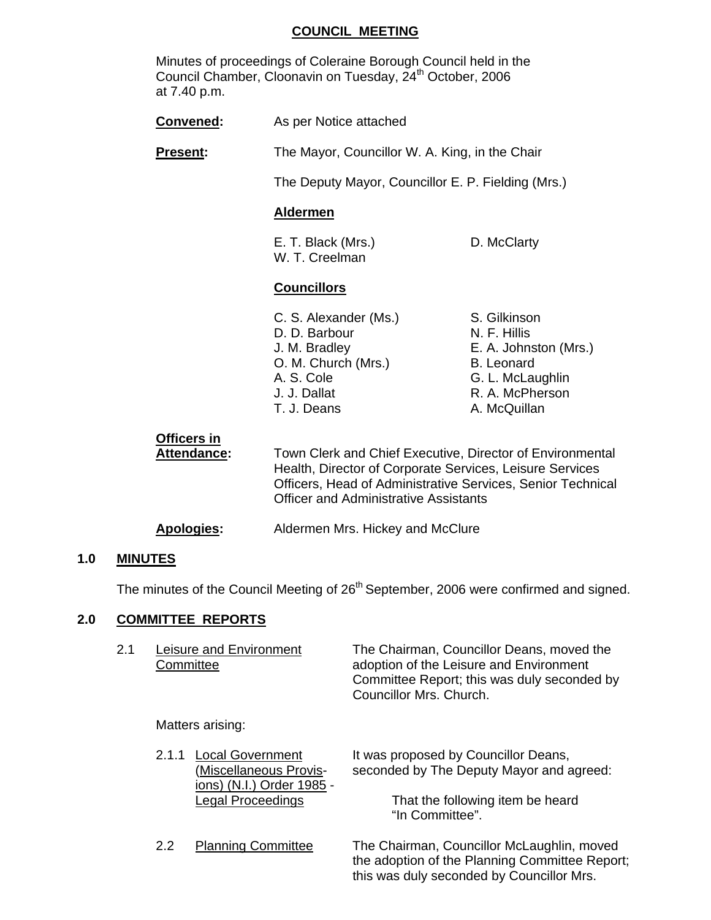#### **COUNCIL MEETING**

 Minutes of proceedings of Coleraine Borough Council held in the Council Chamber, Cloonavin on Tuesday, 24<sup>th</sup> October, 2006 at 7.40 p.m.

| <b>Convened:</b>           | As per Notice attached                                                                                                                                                               |                                                                                                                                   |
|----------------------------|--------------------------------------------------------------------------------------------------------------------------------------------------------------------------------------|-----------------------------------------------------------------------------------------------------------------------------------|
| <b>Present:</b>            | The Mayor, Councillor W. A. King, in the Chair                                                                                                                                       |                                                                                                                                   |
|                            | The Deputy Mayor, Councillor E. P. Fielding (Mrs.)                                                                                                                                   |                                                                                                                                   |
|                            | <b>Aldermen</b>                                                                                                                                                                      |                                                                                                                                   |
|                            | E. T. Black (Mrs.)<br>W. T. Creelman                                                                                                                                                 | D. McClarty                                                                                                                       |
|                            | <b>Councillors</b>                                                                                                                                                                   |                                                                                                                                   |
|                            | C. S. Alexander (Ms.)<br>D. D. Barbour<br>J. M. Bradley<br>O. M. Church (Mrs.)<br>A. S. Cole<br>J. J. Dallat<br>T. J. Deans                                                          | S. Gilkinson<br>N. F. Hillis<br>E. A. Johnston (Mrs.)<br><b>B.</b> Leonard<br>G. L. McLaughlin<br>R. A. McPherson<br>A. McQuillan |
| Officers in<br>Attendance: | Town Clerk and Chief Executive, Director of Environmental<br>Health, Director of Corporate Services, Leisure Services<br>Officers, Head of Administrative Services, Senior Technical |                                                                                                                                   |

**Apologies:** Aldermen Mrs. Hickey and McClure

#### **1.0 MINUTES**

The minutes of the Council Meeting of 26<sup>th</sup> September, 2006 were confirmed and signed.

Officer and Administrative Assistants

#### **2.0 COMMITTEE REPORTS**

| Leisure and Environment | The Chairman, Councillor Deans, moved the   |
|-------------------------|---------------------------------------------|
| Committee               | adoption of the Leisure and Environment     |
|                         | Committee Report; this was duly seconded by |
|                         | Councillor Mrs. Church.                     |

Matters arising:

| 2.1.1 Local Government    | It was proposed by Councillor Deans,     |
|---------------------------|------------------------------------------|
| (Miscellaneous Provis-    | seconded by The Deputy Mayor and agreed: |
| ions) (N.I.) Order 1985 - |                                          |
| Legal Proceedings         | That the following item be heard         |
|                           | "In Committee".                          |

2.2 Planning Committee The Chairman, Councillor McLaughlin, moved the adoption of the Planning Committee Report; this was duly seconded by Councillor Mrs.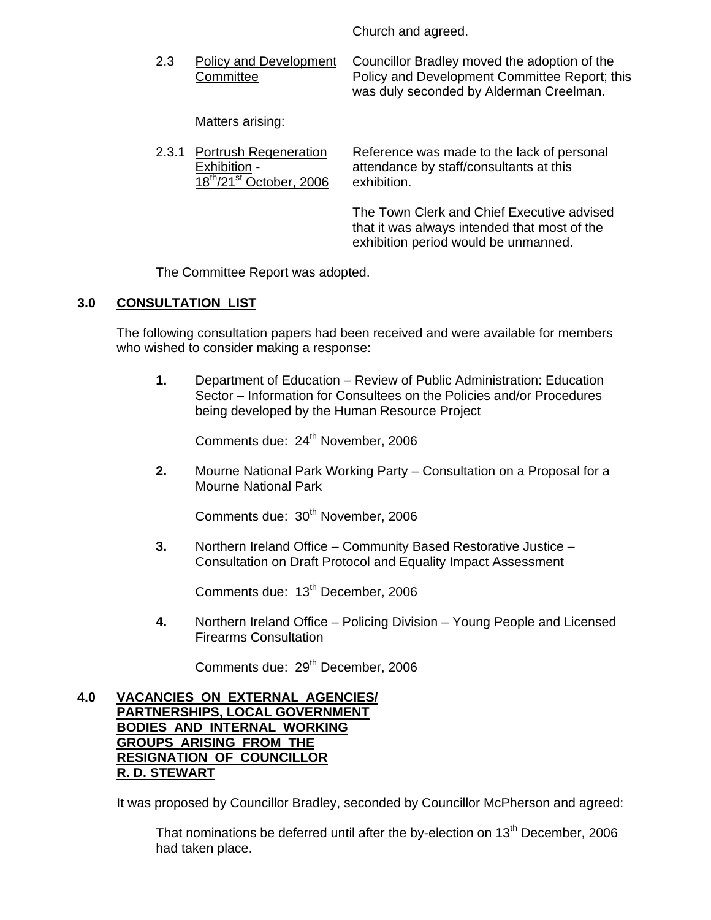Church and agreed.

 2.3 Policy and Development Councillor Bradley moved the adoption of the Committee Policy and Development Committee Report; this was duly seconded by Alderman Creelman.

Matters arising:

| 2.3.1 Portrush Regeneration                      | Reference was made to the lack of personal                                                                                         |
|--------------------------------------------------|------------------------------------------------------------------------------------------------------------------------------------|
| Exhibition -                                     | attendance by staff/consultants at this                                                                                            |
| $18^{\text{th}}$ /21 <sup>st</sup> October, 2006 | exhibition.                                                                                                                        |
|                                                  | The Town Clerk and Chief Executive advised<br>that it was always intended that most of the<br>exhibition period would be unmanned. |

The Committee Report was adopted.

# **3.0 CONSULTATION LIST**

 The following consultation papers had been received and were available for members who wished to consider making a response:

**1.** Department of Education – Review of Public Administration: Education Sector – Information for Consultees on the Policies and/or Procedures being developed by the Human Resource Project

Comments due: 24<sup>th</sup> November, 2006

**2.** Mourne National Park Working Party – Consultation on a Proposal for a Mourne National Park

Comments due: 30<sup>th</sup> November, 2006

**3.** Northern Ireland Office – Community Based Restorative Justice – Consultation on Draft Protocol and Equality Impact Assessment

Comments due: 13<sup>th</sup> December, 2006

**4.** Northern Ireland Office – Policing Division – Young People and Licensed Firearms Consultation

Comments due: 29<sup>th</sup> December, 2006

#### **4.0 VACANCIES ON EXTERNAL AGENCIES/ PARTNERSHIPS, LOCAL GOVERNMENT BODIES AND INTERNAL WORKING GROUPS ARISING FROM THE RESIGNATION OF COUNCILLOR R. D. STEWART**

It was proposed by Councillor Bradley, seconded by Councillor McPherson and agreed:

That nominations be deferred until after the by-election on  $13<sup>th</sup>$  December, 2006 had taken place.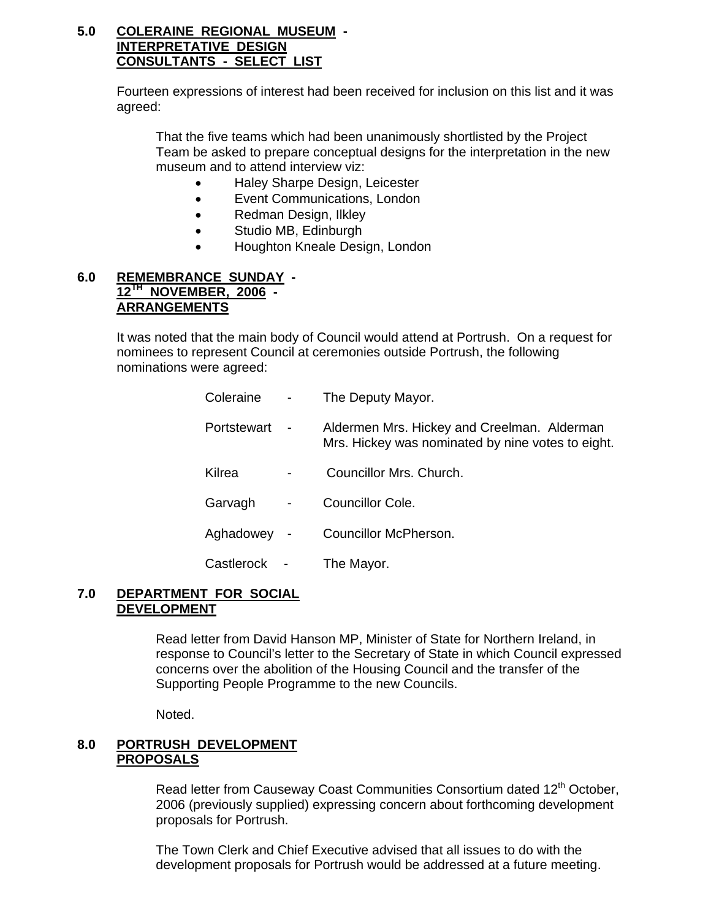### **5.0 COLERAINE REGIONAL MUSEUM - INTERPRETATIVE DESIGN CONSULTANTS - SELECT LIST**

Fourteen expressions of interest had been received for inclusion on this list and it was agreed:

That the five teams which had been unanimously shortlisted by the Project Team be asked to prepare conceptual designs for the interpretation in the new museum and to attend interview viz:

- Haley Sharpe Design, Leicester
- Event Communications, London
- Redman Design, Ilkley
- Studio MB, Edinburgh
- Houghton Kneale Design, London

#### **6.0 REMEMBRANCE SUNDAY - 12TH NOVEMBER, 2006 - ARRANGEMENTS**

It was noted that the main body of Council would attend at Portrush. On a request for nominees to represent Council at ceremonies outside Portrush, the following nominations were agreed:

| Coleraine   |                              | The Deputy Mayor.                                                                                |
|-------------|------------------------------|--------------------------------------------------------------------------------------------------|
| Portstewart | $\qquad \qquad \blacksquare$ | Aldermen Mrs. Hickey and Creelman. Alderman<br>Mrs. Hickey was nominated by nine votes to eight. |
| Kilrea      |                              | Councillor Mrs. Church.                                                                          |
| Garvagh     | $\overline{\phantom{0}}$     | Councillor Cole.                                                                                 |
| Aghadowey   | $\blacksquare$               | Councillor McPherson.                                                                            |
| Castlerock  |                              | The Mayor.                                                                                       |

#### **7.0 DEPARTMENT FOR SOCIAL DEVELOPMENT**

Read letter from David Hanson MP, Minister of State for Northern Ireland, in response to Council's letter to the Secretary of State in which Council expressed concerns over the abolition of the Housing Council and the transfer of the Supporting People Programme to the new Councils.

Noted.

# **8.0 PORTRUSH DEVELOPMENT PROPOSALS**

Read letter from Causeway Coast Communities Consortium dated 12<sup>th</sup> October, 2006 (previously supplied) expressing concern about forthcoming development proposals for Portrush.

The Town Clerk and Chief Executive advised that all issues to do with the development proposals for Portrush would be addressed at a future meeting.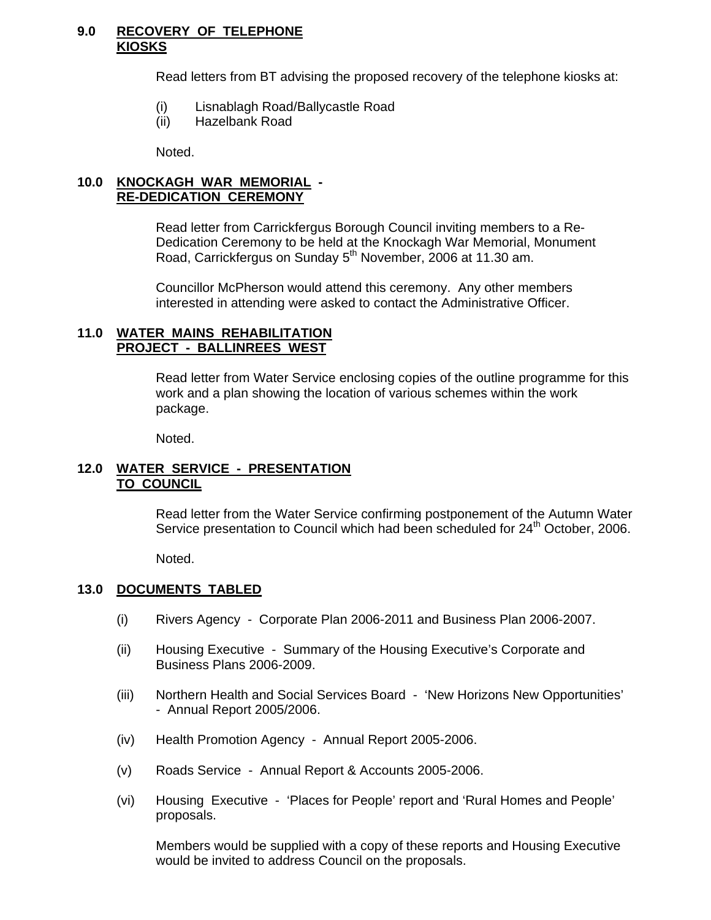#### **9.0 RECOVERY OF TELEPHONE KIOSKS**

Read letters from BT advising the proposed recovery of the telephone kiosks at:

- (i) Lisnablagh Road/Ballycastle Road
- (ii) Hazelbank Road

Noted.

# **10.0 KNOCKAGH WAR MEMORIAL - RE-DEDICATION CEREMONY**

Read letter from Carrickfergus Borough Council inviting members to a Re- Dedication Ceremony to be held at the Knockagh War Memorial, Monument Road, Carrickfergus on Sunday 5<sup>th</sup> November, 2006 at 11.30 am.

 Councillor McPherson would attend this ceremony. Any other members interested in attending were asked to contact the Administrative Officer.

#### **11.0 WATER MAINS REHABILITATION PROJECT - BALLINREES WEST**

 Read letter from Water Service enclosing copies of the outline programme for this work and a plan showing the location of various schemes within the work package.

Noted.

#### **12.0 WATER SERVICE - PRESENTATION TO COUNCIL**

 Read letter from the Water Service confirming postponement of the Autumn Water Service presentation to Council which had been scheduled for  $24<sup>th</sup>$  October, 2006.

Noted.

### **13.0 DOCUMENTS TABLED**

- (i) Rivers Agency Corporate Plan 2006-2011 and Business Plan 2006-2007.
- (ii) Housing Executive Summary of the Housing Executive's Corporate and Business Plans 2006-2009.
- (iii) Northern Health and Social Services Board 'New Horizons New Opportunities' - Annual Report 2005/2006.
- (iv) Health Promotion Agency Annual Report 2005-2006.
- (v) Roads Service Annual Report & Accounts 2005-2006.
- (vi) Housing Executive 'Places for People' report and 'Rural Homes and People' proposals.

Members would be supplied with a copy of these reports and Housing Executive would be invited to address Council on the proposals.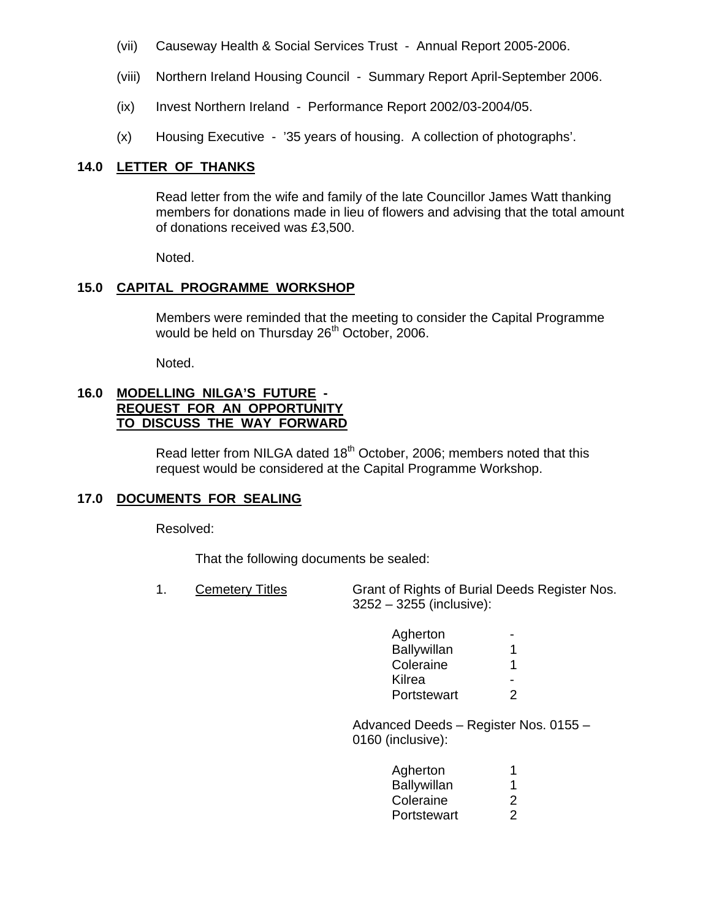- (vii) Causeway Health & Social Services Trust Annual Report 2005-2006.
- (viii) Northern Ireland Housing Council Summary Report April-September 2006.
- (ix) Invest Northern Ireland Performance Report 2002/03-2004/05.
- (x) Housing Executive '35 years of housing. A collection of photographs'.

#### **14.0 LETTER OF THANKS**

 Read letter from the wife and family of the late Councillor James Watt thanking members for donations made in lieu of flowers and advising that the total amount of donations received was £3,500.

Noted.

#### **15.0 CAPITAL PROGRAMME WORKSHOP**

Members were reminded that the meeting to consider the Capital Programme would be held on Thursday 26<sup>th</sup> October, 2006.

Noted.

#### **16.0 MODELLING NILGA'S FUTURE - REQUEST FOR AN OPPORTUNITY TO DISCUSS THE WAY FORWARD**

Read letter from NILGA dated 18<sup>th</sup> October, 2006; members noted that this request would be considered at the Capital Programme Workshop.

#### **17.0 DOCUMENTS FOR SEALING**

Resolved:

That the following documents be sealed:

 1. Cemetery Titles Grant of Rights of Burial Deeds Register Nos. 3252 – 3255 (inclusive):

| Agherton    | $\sim$ |
|-------------|--------|
| Ballywillan |        |
| Coleraine   | -1     |
| Kilrea      | . .    |
| Portstewart | 2      |

 Advanced Deeds – Register Nos. 0155 – 0160 (inclusive):

| Agherton    |                |
|-------------|----------------|
| Ballywillan |                |
| Coleraine   | $\overline{2}$ |
| Portstewart | $\mathcal{P}$  |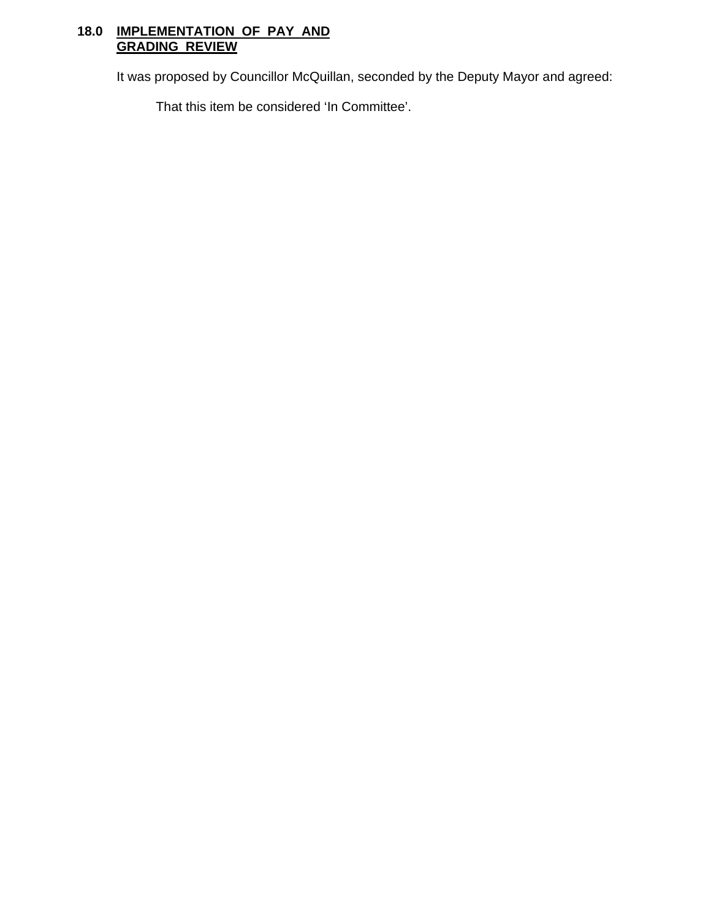# **18.0 IMPLEMENTATION OF PAY AND GRADING REVIEW**

It was proposed by Councillor McQuillan, seconded by the Deputy Mayor and agreed:

That this item be considered 'In Committee'.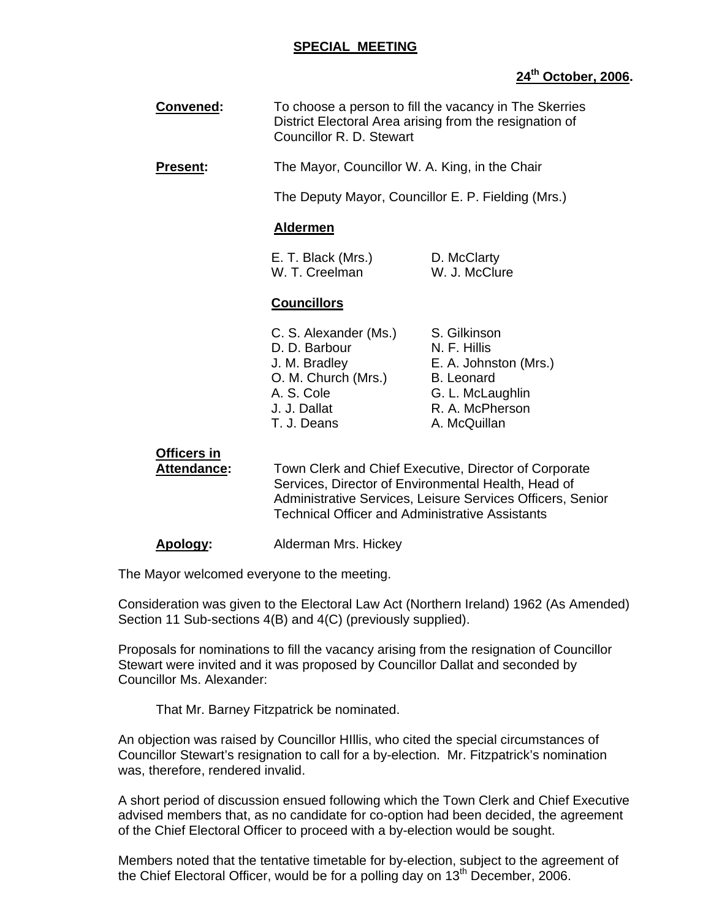#### **SPECIAL MEETING**

# **24th October, 2006.**

| Convened:                                | To choose a person to fill the vacancy in The Skerries<br>District Electoral Area arising from the resignation of<br>Councillor R. D. Stewart                                                                                        |                                                                                                                                   |
|------------------------------------------|--------------------------------------------------------------------------------------------------------------------------------------------------------------------------------------------------------------------------------------|-----------------------------------------------------------------------------------------------------------------------------------|
| Present:                                 | The Mayor, Councillor W. A. King, in the Chair                                                                                                                                                                                       |                                                                                                                                   |
|                                          | The Deputy Mayor, Councillor E. P. Fielding (Mrs.)                                                                                                                                                                                   |                                                                                                                                   |
|                                          | <b>Aldermen</b>                                                                                                                                                                                                                      |                                                                                                                                   |
|                                          | E. T. Black (Mrs.)<br>W. T. Creelman                                                                                                                                                                                                 | D. McClarty<br>W. J. McClure                                                                                                      |
|                                          | <b>Councillors</b>                                                                                                                                                                                                                   |                                                                                                                                   |
|                                          | C. S. Alexander (Ms.)<br>D. D. Barbour<br>J. M. Bradley<br>O. M. Church (Mrs.)<br>A. S. Cole<br>J. J. Dallat<br>T. J. Deans                                                                                                          | S. Gilkinson<br>N. F. Hillis<br>E. A. Johnston (Mrs.)<br><b>B.</b> Leonard<br>G. L. McLaughlin<br>R. A. McPherson<br>A. McQuillan |
| <b>Officers in</b><br><b>Attendance:</b> | Town Clerk and Chief Executive, Director of Corporate<br>Services, Director of Environmental Health, Head of<br>Administrative Services, Leisure Services Officers, Senior<br><b>Technical Officer and Administrative Assistants</b> |                                                                                                                                   |
| <b>Apology:</b>                          | Alderman Mrs. Hickey                                                                                                                                                                                                                 |                                                                                                                                   |

The Mayor welcomed everyone to the meeting.

Consideration was given to the Electoral Law Act (Northern Ireland) 1962 (As Amended) Section 11 Sub-sections 4(B) and 4(C) (previously supplied).

Proposals for nominations to fill the vacancy arising from the resignation of Councillor Stewart were invited and it was proposed by Councillor Dallat and seconded by Councillor Ms. Alexander:

That Mr. Barney Fitzpatrick be nominated.

An objection was raised by Councillor HIllis, who cited the special circumstances of Councillor Stewart's resignation to call for a by-election. Mr. Fitzpatrick's nomination was, therefore, rendered invalid.

A short period of discussion ensued following which the Town Clerk and Chief Executive advised members that, as no candidate for co-option had been decided, the agreement of the Chief Electoral Officer to proceed with a by-election would be sought.

Members noted that the tentative timetable for by-election, subject to the agreement of the Chief Electoral Officer, would be for a polling day on  $13<sup>th</sup>$  December, 2006.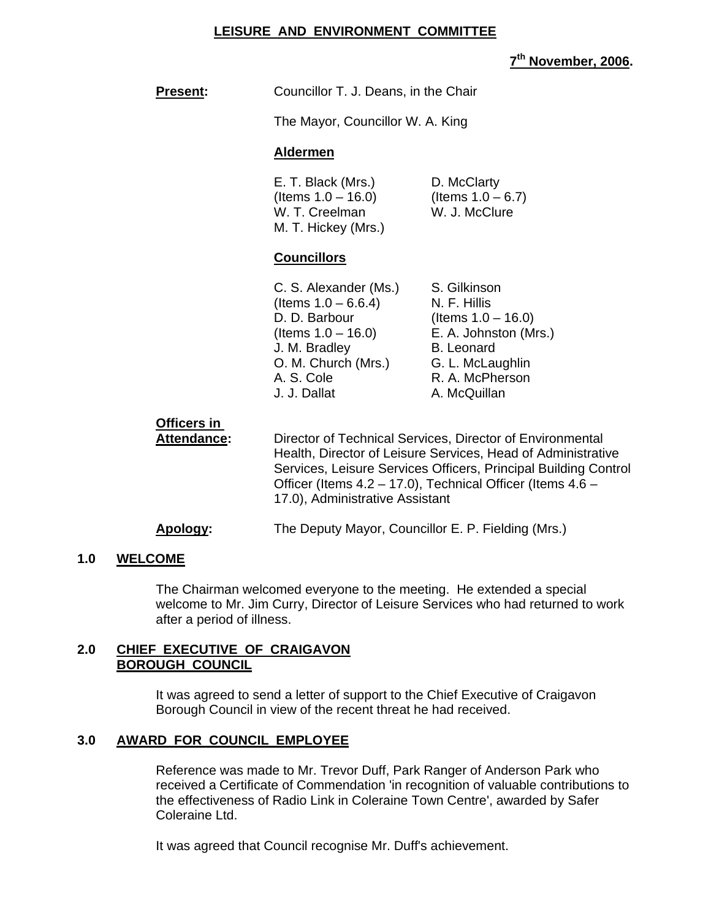#### **LEISURE AND ENVIRONMENT COMMITTEE**

**7th November, 2006.** 

| <b>Present:</b> | Councillor T. J. Deans, in the Chair |
|-----------------|--------------------------------------|
|                 | The Mayor, Councillor W. A. King     |

#### **Aldermen**

| E. T. Black (Mrs.)    | D. McClarty          |
|-----------------------|----------------------|
| (Items $1.0 - 16.0$ ) | (Items $1.0 - 6.7$ ) |
| W. T. Creelman        | W. J. McClure        |
| M. T. Hickey (Mrs.)   |                      |

#### **Councillors**

| C. S. Alexander (Ms.)  | S. Gilkinson          |
|------------------------|-----------------------|
| (Items $1.0 - 6.6.4$ ) | N. F. Hillis          |
| D. D. Barbour          | (Items $1.0 - 16.0$ ) |
| (Items $1.0 - 16.0$ )  | E. A. Johnston (Mrs.) |
| J. M. Bradley          | <b>B.</b> Leonard     |
| O. M. Church (Mrs.)    | G. L. McLaughlin      |
| A. S. Cole             | R. A. McPherson       |
| J. J. Dallat           | A. McQuillan          |

# **Officers in**

**Attendance:** Director of Technical Services, Director of Environmental Health, Director of Leisure Services, Head of Administrative Services, Leisure Services Officers, Principal Building Control Officer (Items 4.2 – 17.0), Technical Officer (Items 4.6 – 17.0), Administrative Assistant

#### **Apology:** The Deputy Mayor, Councillor E. P. Fielding (Mrs.)

#### **1.0 WELCOME**

The Chairman welcomed everyone to the meeting. He extended a special welcome to Mr. Jim Curry, Director of Leisure Services who had returned to work after a period of illness.

#### **2.0 CHIEF EXECUTIVE OF CRAIGAVON BOROUGH COUNCIL**

It was agreed to send a letter of support to the Chief Executive of Craigavon Borough Council in view of the recent threat he had received.

#### **3.0 AWARD FOR COUNCIL EMPLOYEE**

Reference was made to Mr. Trevor Duff, Park Ranger of Anderson Park who received a Certificate of Commendation 'in recognition of valuable contributions to the effectiveness of Radio Link in Coleraine Town Centre', awarded by Safer Coleraine Ltd.

It was agreed that Council recognise Mr. Duff's achievement.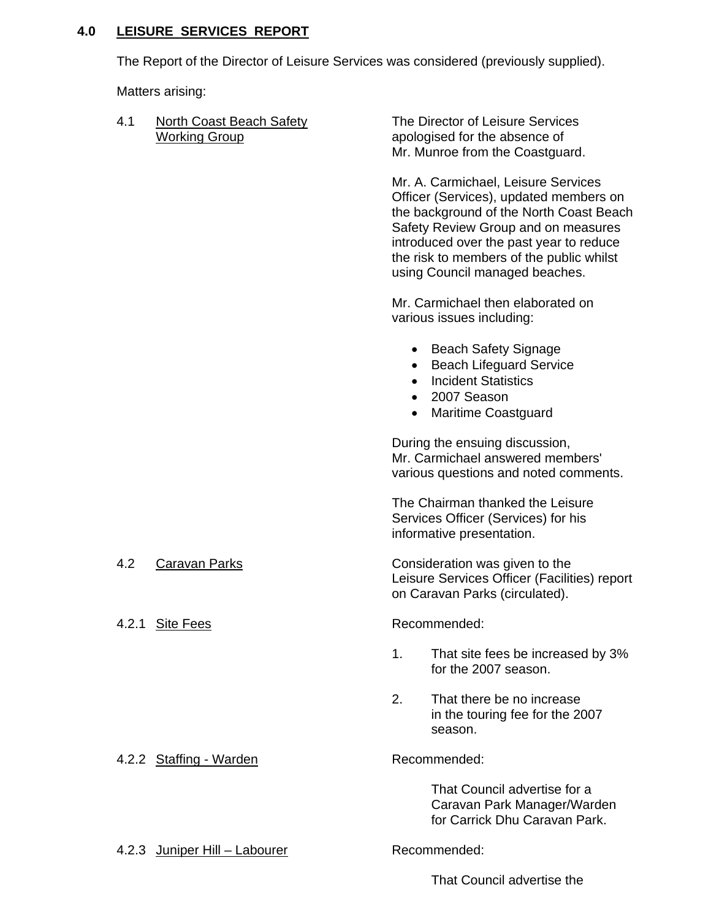# **4.0 LEISURE SERVICES REPORT**

The Report of the Director of Leisure Services was considered (previously supplied).

Matters arising:

4.1 North Coast Beach Safety The Director of Leisure Services

Working Group apologised for the absence of Mr. Munroe from the Coastguard.

> Mr. A. Carmichael, Leisure Services Officer (Services), updated members on the background of the North Coast Beach Safety Review Group and on measures introduced over the past year to reduce the risk to members of the public whilst using Council managed beaches.

Mr. Carmichael then elaborated on various issues including:

- Beach Safety Signage
- Beach Lifeguard Service
- Incident Statistics
- 2007 Season
- Maritime Coastguard

 During the ensuing discussion, Mr. Carmichael answered members' various questions and noted comments.

 The Chairman thanked the Leisure Services Officer (Services) for his informative presentation.

4.2 Caravan Parks Consideration was given to the Leisure Services Officer (Facilities) report on Caravan Parks (circulated).

A.2.1 Site Fees Recommended:

- 1. That site fees be increased by 3% for the 2007 season.
- 2. That there be no increase in the touring fee for the 2007 season.

4.2.2 Staffing - Warden Recommended:

 That Council advertise for a Caravan Park Manager/Warden for Carrick Dhu Caravan Park.

4.2.3 Juniper Hill – Labourer Recommended:

That Council advertise the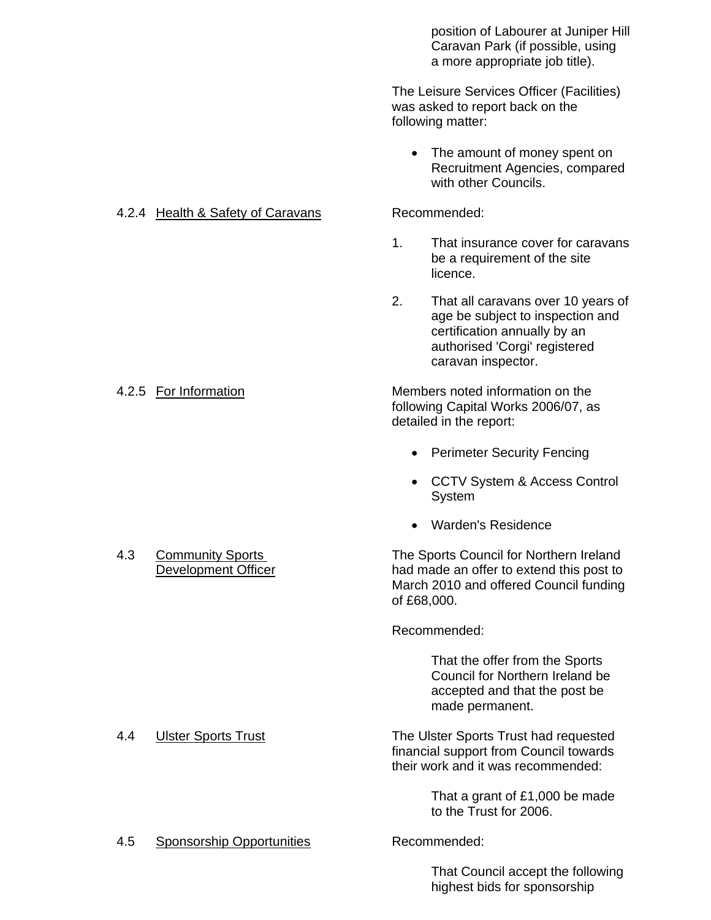position of Labourer at Juniper Hill Caravan Park (if possible, using a more appropriate job title).

 The Leisure Services Officer (Facilities) was asked to report back on the following matter:

• The amount of money spent on Recruitment Agencies, compared with other Councils.

- 1. That insurance cover for caravans be a requirement of the site **licence.** The contract of the contract of the contract of the contract of the contract of the contract of the contract of the contract of the contract of the contract of the contract of the contract of the contract of the
	- 2. That all caravans over 10 years of age be subject to inspection and certification annually by an authorised 'Corgi' registered caravan inspector.

 4.2.5 For Information Members noted information on the following Capital Works 2006/07, as detailed in the report:

- Perimeter Security Fencing
- CCTV System & Access Control System
- Warden's Residence

4.3 Community Sports The Sports Council for Northern Ireland Development Officer had made an offer to extend this post to March 2010 and offered Council funding of £68,000.

Recommended:

 That the offer from the Sports Council for Northern Ireland be accepted and that the post be made permanent.

 4.4 Ulster Sports Trust The Ulster Sports Trust had requested financial support from Council towards their work and it was recommended:

> That a grant of £1,000 be made to the Trust for 2006.

 That Council accept the following highest bids for sponsorship

4.2.4 Health & Safety of Caravans Recommended:

# 4.5 Sponsorship Opportunities Recommended: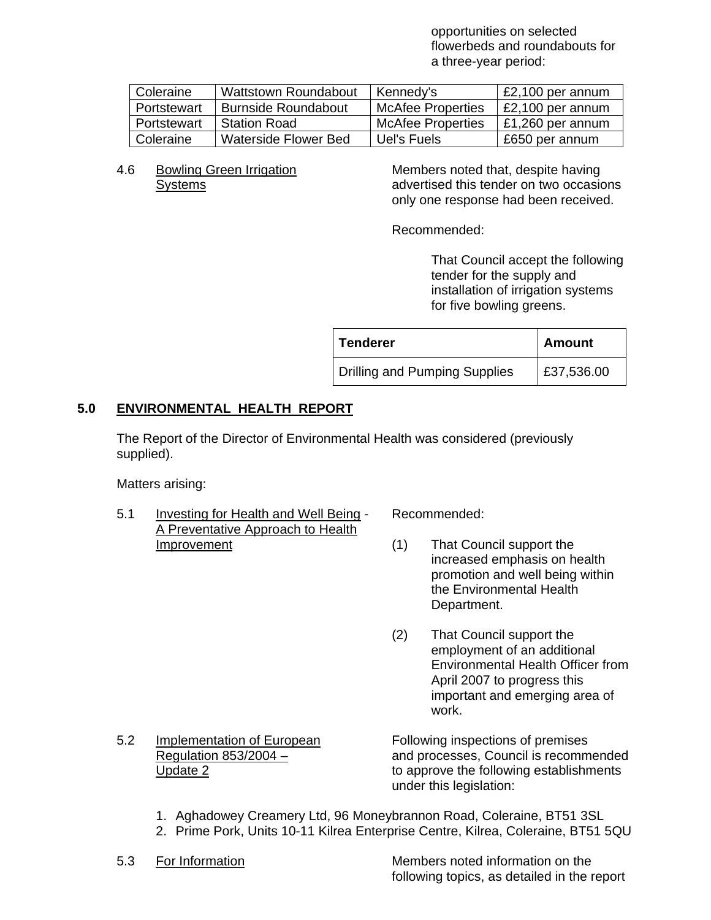opportunities on selected flowerbeds and roundabouts for a three-year period:

| Coleraine   | <b>Wattstown Roundabout</b> | Kennedy's                | £2,100 per annum |
|-------------|-----------------------------|--------------------------|------------------|
| Portstewart | <b>Burnside Roundabout</b>  | <b>McAfee Properties</b> | £2,100 per annum |
| Portstewart | <b>Station Road</b>         | <b>McAfee Properties</b> | £1,260 per annum |
| Coleraine   | Waterside Flower Bed        | Uel's Fuels              | £650 per annum   |

4.6 Bowling Green Irrigation Members noted that, despite having Systems advertised this tender on two occasions only one response had been received.

Recommended:

 That Council accept the following tender for the supply and installation of irrigation systems for five bowling greens.

| <b>Tenderer</b>                      | <b>Amount</b> |
|--------------------------------------|---------------|
| <b>Drilling and Pumping Supplies</b> | £37,536.00    |

# **5.0 ENVIRONMENTAL HEALTH REPORT**

 The Report of the Director of Environmental Health was considered (previously supplied).

Matters arising:

5.1 Investing for Health and Well Being - Recommended: A Preventative Approach to Health Improvement (1) That Council support the

- increased emphasis on health promotion and well being within the Environmental Health Department.
- (2) That Council support the employment of an additional Environmental Health Officer from April 2007 to progress this important and emerging area of work.

5.2 Implementation of European Following inspections of premises

Regulation 853/2004 – and processes, Council is recommended Update 2 to approve the following establishments under this legislation:

- 1. Aghadowey Creamery Ltd, 96 Moneybrannon Road, Coleraine, BT51 3SL
- 2. Prime Pork, Units 10-11 Kilrea Enterprise Centre, Kilrea, Coleraine, BT51 5QU
- 

 5.3 For Information Members noted information on the following topics, as detailed in the report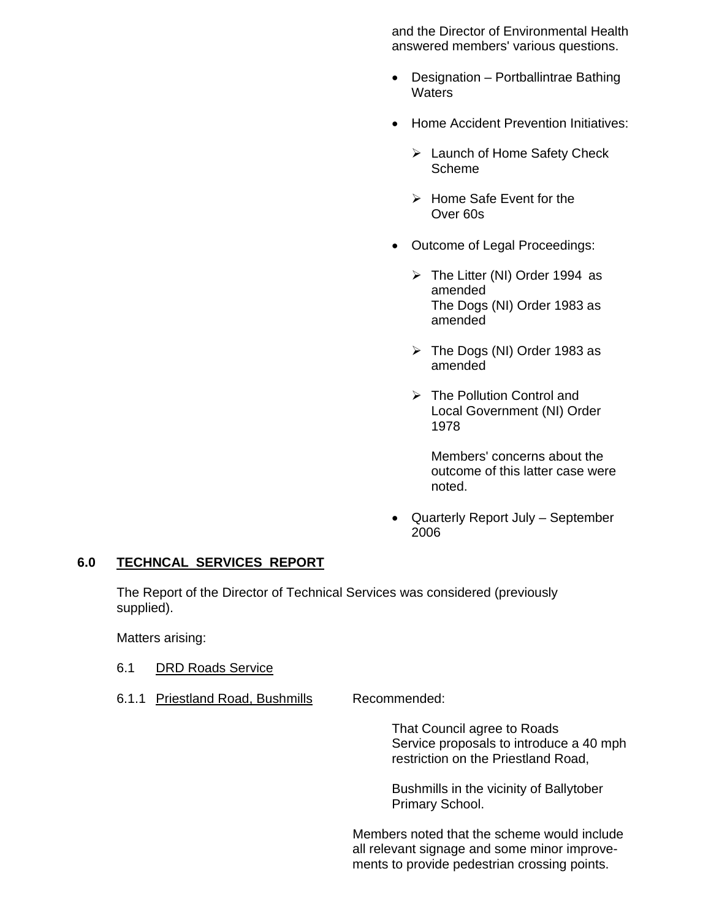and the Director of Environmental Health answered members' various questions.

- Designation Portballintrae Bathing **Waters**
- Home Accident Prevention Initiatives:
	- $\triangleright$  Launch of Home Safety Check Scheme
	- $\triangleright$  Home Safe Event for the Over 60s
- Outcome of Legal Proceedings:
	- $\triangleright$  The Litter (NI) Order 1994 as amended The Dogs (NI) Order 1983 as amended
	- $\triangleright$  The Dogs (NI) Order 1983 as amended
	- $\triangleright$  The Pollution Control and Local Government (NI) Order 1978

 Members' concerns about the outcome of this latter case were noted.

• Quarterly Report July – September 2006

#### **6.0 TECHNCAL SERVICES REPORT**

 The Report of the Director of Technical Services was considered (previously supplied).

Matters arising:

- 6.1 DRD Roads Service
- 6.1.1 Priestland Road, Bushmills Recommended:

That Council agree to Roads Service proposals to introduce a 40 mph restriction on the Priestland Road,

 Bushmills in the vicinity of Ballytober Primary School.

 Members noted that the scheme would include all relevant signage and some minor improvements to provide pedestrian crossing points.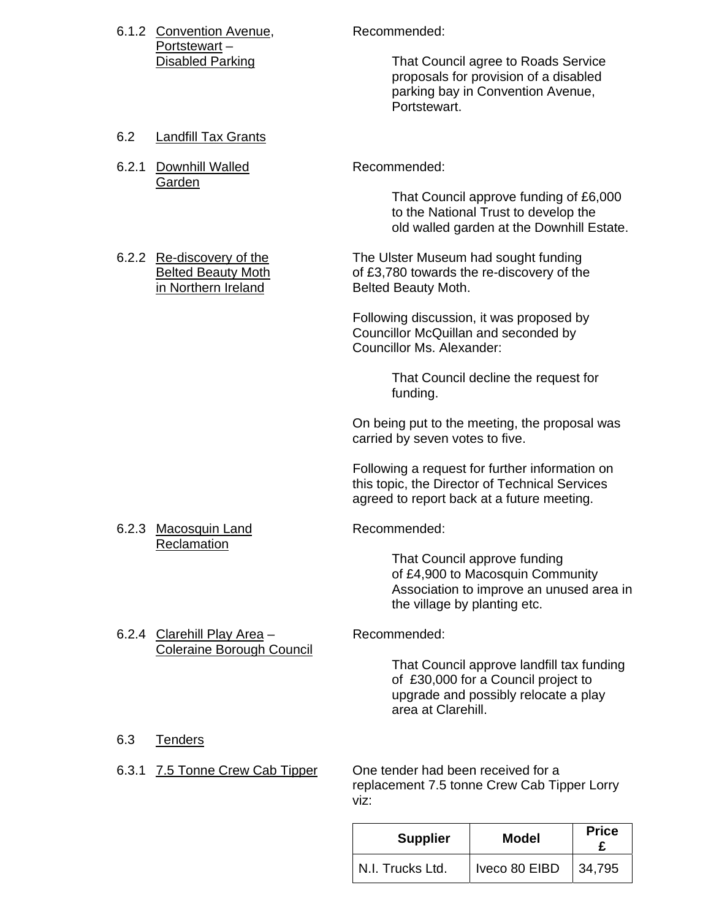|              |                                                                               | <b>Supplier</b>                                                                                               | <b>Model</b>                                                                                                                | <b>Price</b><br>£ |
|--------------|-------------------------------------------------------------------------------|---------------------------------------------------------------------------------------------------------------|-----------------------------------------------------------------------------------------------------------------------------|-------------------|
| 6.3<br>6.3.1 | <b>Tenders</b><br>7.5 Tonne Crew Cab Tipper                                   | One tender had been received for a<br>replacement 7.5 tonne Crew Cab Tipper Lorry<br>viz:                     |                                                                                                                             |                   |
|              | <b>Coleraine Borough Council</b>                                              | area at Clarehill.                                                                                            | That Council approve landfill tax funding<br>of £30,000 for a Council project to<br>upgrade and possibly relocate a play    |                   |
|              | 6.2.4 Clarehill Play Area -                                                   | the village by planting etc.<br>Recommended:                                                                  | That Council approve funding<br>of £4,900 to Macosquin Community<br>Association to improve an unused area in                |                   |
|              | 6.2.3 Macosquin Land<br>Reclamation                                           | agreed to report back at a future meeting.<br>Recommended:                                                    |                                                                                                                             |                   |
|              |                                                                               | Following a request for further information on<br>this topic, the Director of Technical Services              |                                                                                                                             |                   |
|              |                                                                               | On being put to the meeting, the proposal was<br>carried by seven votes to five.                              |                                                                                                                             |                   |
|              |                                                                               | funding.                                                                                                      | That Council decline the request for                                                                                        |                   |
|              |                                                                               | Following discussion, it was proposed by<br>Councillor McQuillan and seconded by<br>Councillor Ms. Alexander: |                                                                                                                             |                   |
|              | 6.2.2 Re-discovery of the<br><b>Belted Beauty Moth</b><br>in Northern Ireland | The Ulster Museum had sought funding<br>of £3,780 towards the re-discovery of the<br>Belted Beauty Moth.      |                                                                                                                             |                   |
|              | Garden                                                                        |                                                                                                               | That Council approve funding of £6,000<br>to the National Trust to develop the<br>old walled garden at the Downhill Estate. |                   |
| 6.2.1        | Downhill Walled                                                               | Recommended:                                                                                                  |                                                                                                                             |                   |
| 6.2          | Landfill Tax Grants                                                           | Portstewart.                                                                                                  |                                                                                                                             |                   |
|              | Portstewart-<br><b>Disabled Parking</b>                                       |                                                                                                               | That Council agree to Roads Service<br>proposals for provision of a disabled<br>parking bay in Convention Avenue,           |                   |
|              | 6.1.2 Convention Avenue,                                                      | Recommended:                                                                                                  |                                                                                                                             |                   |

N.I. Trucks Ltd. | Iveco 80 EIBD | 34,795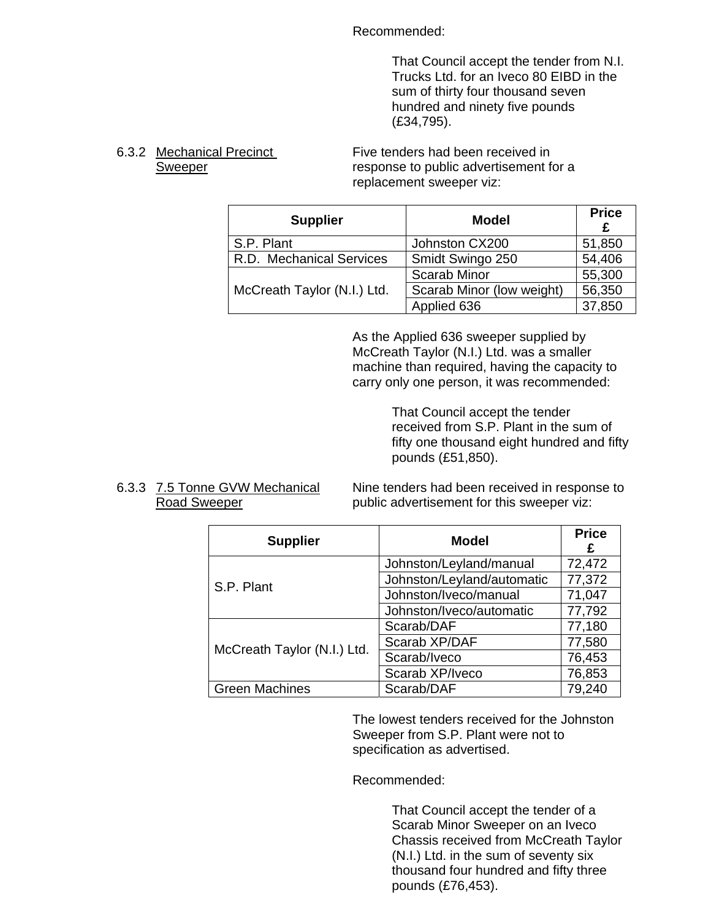Recommended:

 That Council accept the tender from N.I. Trucks Ltd. for an Iveco 80 EIBD in the sum of thirty four thousand seven hundred and ninety five pounds (£34,795).

6.3.2 Mechanical Precinct Five tenders had been received in Sweeper **response** to public advertisement for a replacement sweeper viz:

| <b>Supplier</b>             | <b>Model</b>              | <b>Price</b><br>£ |
|-----------------------------|---------------------------|-------------------|
| S.P. Plant                  | Johnston CX200            | 51,850            |
| R.D. Mechanical Services    | Smidt Swingo 250          | 54,406            |
|                             | <b>Scarab Minor</b>       | 55,300            |
| McCreath Taylor (N.I.) Ltd. | Scarab Minor (low weight) | 56,350            |
|                             | Applied 636               | 37,850            |

 As the Applied 636 sweeper supplied by McCreath Taylor (N.I.) Ltd. was a smaller machine than required, having the capacity to carry only one person, it was recommended:

> That Council accept the tender received from S.P. Plant in the sum of fifty one thousand eight hundred and fifty pounds (£51,850).

6.3.3 7.5 Tonne GVW Mechanical Nine tenders had been received in response to Road Sweeper **public advertisement for this sweeper viz:** 

| <b>Supplier</b>             | <b>Model</b>               | <b>Price</b><br>£ |
|-----------------------------|----------------------------|-------------------|
|                             | Johnston/Leyland/manual    | 72,472            |
| S.P. Plant                  | Johnston/Leyland/automatic | 77,372            |
|                             | Johnston/Iveco/manual      | 71,047            |
|                             | Johnston/Iveco/automatic   | 77,792            |
|                             | Scarab/DAF                 | 77,180            |
| McCreath Taylor (N.I.) Ltd. | Scarab XP/DAF              | 77,580            |
|                             | Scarab/Iveco               | 76,453            |
|                             | Scarab XP/Iveco            | 76,853            |
| <b>Green Machines</b>       | Scarab/DAF                 | 79,240            |

The lowest tenders received for the Johnston Sweeper from S.P. Plant were not to specification as advertised.

Recommended:

 That Council accept the tender of a Scarab Minor Sweeper on an Iveco Chassis received from McCreath Taylor (N.I.) Ltd. in the sum of seventy six thousand four hundred and fifty three pounds (£76,453).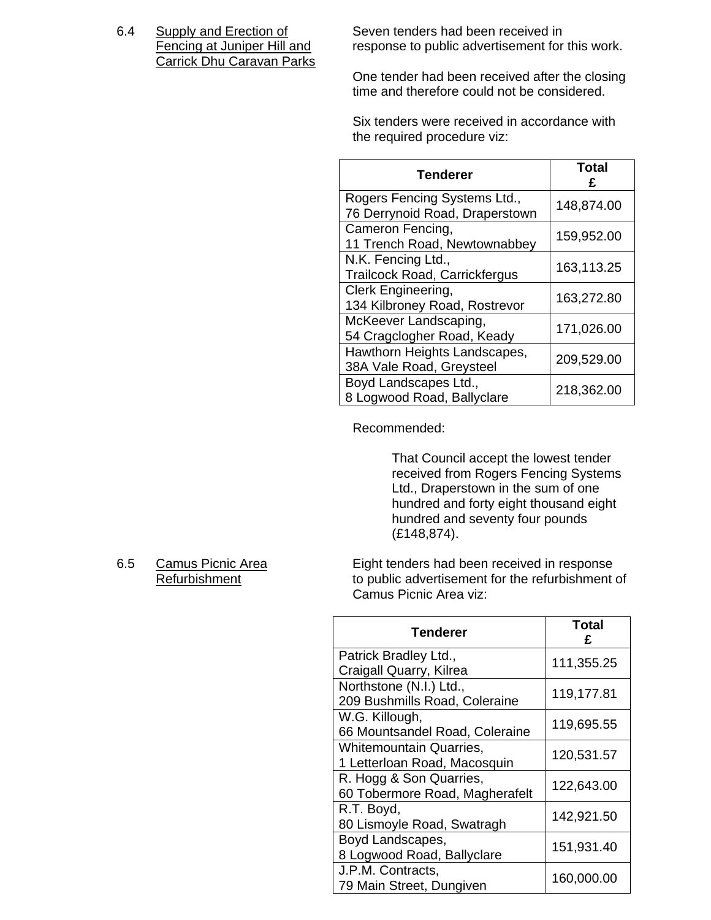Carrick Dhu Caravan Parks

6.4 Supply and Erection of Seven tenders had been received in<br>Fencing at Juniper Hill and response to public advertisement for response to public advertisement for this work.

> One tender had been received after the closing time and therefore could not be considered.

 Six tenders were received in accordance with the required procedure viz:

| <b>Tenderer</b>                                                | <b>Total</b> |
|----------------------------------------------------------------|--------------|
| Rogers Fencing Systems Ltd.,<br>76 Derrynoid Road, Draperstown | 148,874.00   |
| Cameron Fencing,<br>11 Trench Road, Newtownabbey               | 159,952.00   |
| N.K. Fencing Ltd.,<br><b>Trailcock Road, Carrickfergus</b>     | 163,113.25   |
| Clerk Engineering,<br>134 Kilbroney Road, Rostrevor            | 163,272.80   |
| McKeever Landscaping,<br>54 Cragclogher Road, Keady            | 171,026.00   |
| Hawthorn Heights Landscapes,<br>38A Vale Road, Greysteel       | 209,529.00   |
| Boyd Landscapes Ltd.,<br>8 Logwood Road, Ballyclare            | 218,362.00   |

Recommended:

 That Council accept the lowest tender received from Rogers Fencing Systems Ltd., Draperstown in the sum of one hundred and forty eight thousand eight hundred and seventy four pounds (£148,874).

6.5 Camus Picnic Area Eight tenders had been received in response Refurbishment to public advertisement for the refurbishment of Camus Picnic Area viz:

| Tenderer                       | <b>Total</b><br>£ |
|--------------------------------|-------------------|
| Patrick Bradley Ltd.,          | 111,355.25        |
| Craigall Quarry, Kilrea        |                   |
| Northstone (N.I.) Ltd.,        | 119,177.81        |
| 209 Bushmills Road, Coleraine  |                   |
| W.G. Killough,                 | 119,695.55        |
| 66 Mountsandel Road, Coleraine |                   |
| <b>Whitemountain Quarries,</b> | 120,531.57        |
| 1 Letterloan Road, Macosquin   |                   |
| R. Hogg & Son Quarries,        | 122,643.00        |
| 60 Tobermore Road, Magherafelt |                   |
| R.T. Boyd,                     | 142,921.50        |
| 80 Lismoyle Road, Swatragh     |                   |
| Boyd Landscapes,               | 151,931.40        |
| 8 Logwood Road, Ballyclare     |                   |
| J.P.M. Contracts,              | 160,000.00        |
| 79 Main Street, Dungiven       |                   |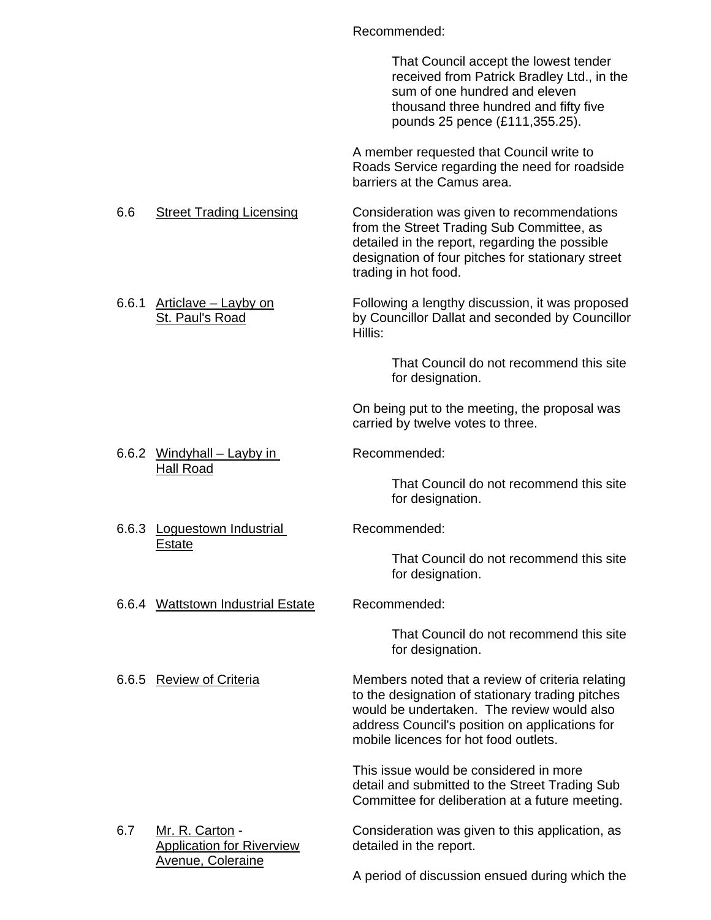#### Recommended:

 That Council accept the lowest tender received from Patrick Bradley Ltd., in the sum of one hundred and eleven thousand three hundred and fifty five pounds 25 pence (£111,355.25). A member requested that Council write to Roads Service regarding the need for roadside barriers at the Camus area. 6.6 Street Trading Licensing Consideration was given to recommendations from the Street Trading Sub Committee, as detailed in the report, regarding the possible designation of four pitches for stationary street trading in hot food. 6.6.1 Articlave – Layby on Following a lengthy discussion, it was proposed St. Paul's Road by Councillor Dallat and seconded by Councillor Hillis: That Council do not recommend this site for designation. On being put to the meeting, the proposal was carried by twelve votes to three. 6.6.2 Windyhall – Layby in Recommended: Hall Road That Council do not recommend this site for designation. 6.6.3 Loguestown Industrial Recommended: Estate That Council do not recommend this site for designation. 6.6.4 Wattstown Industrial Estate Recommended: That Council do not recommend this site for designation. 6.6.5 Review of Criteria Members noted that a review of criteria relating to the designation of stationary trading pitches would be undertaken. The review would also address Council's position on applications for mobile licences for hot food outlets. This issue would be considered in more detail and submitted to the Street Trading Sub Committee for deliberation at a future meeting. 6.7 Mr. R. Carton - Consideration was given to this application, as

Application for Riverview detailed in the report. Avenue, Coleraine

A period of discussion ensued during which the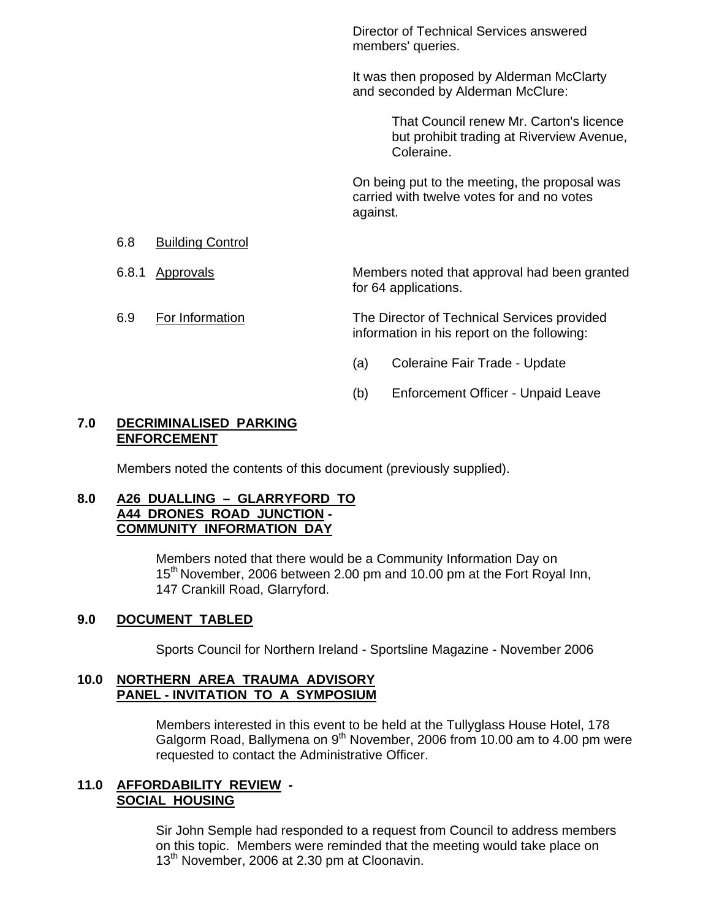Director of Technical Services answered members' queries.

 It was then proposed by Alderman McClarty and seconded by Alderman McClure:

> That Council renew Mr. Carton's licence but prohibit trading at Riverview Avenue, Coleraine.

 On being put to the meeting, the proposal was carried with twelve votes for and no votes against.

#### 6.8 Building Control

6.8.1 Approvals Members noted that approval had been granted for 64 applications.

 6.9 For Information The Director of Technical Services provided information in his report on the following:

- (a) Coleraine Fair Trade Update
- (b) Enforcement Officer Unpaid Leave

#### **7.0 DECRIMINALISED PARKING ENFORCEMENT**

Members noted the contents of this document (previously supplied).

#### **8.0 A26 DUALLING – GLARRYFORD TO A44 DRONES ROAD JUNCTION - COMMUNITY INFORMATION DAY**

 Members noted that there would be a Community Information Day on 15<sup>th</sup> November, 2006 between 2.00 pm and 10.00 pm at the Fort Royal Inn, 147 Crankill Road, Glarryford.

#### **9.0 DOCUMENT TABLED**

Sports Council for Northern Ireland - Sportsline Magazine - November 2006

#### **10.0 NORTHERN AREA TRAUMA ADVISORY PANEL - INVITATION TO A SYMPOSIUM**

 Members interested in this event to be held at the Tullyglass House Hotel, 178 Galgorm Road, Ballymena on  $9<sup>th</sup>$  November, 2006 from 10.00 am to 4.00 pm were requested to contact the Administrative Officer.

#### **11.0 AFFORDABILITY REVIEW - SOCIAL HOUSING**

 Sir John Semple had responded to a request from Council to address members on this topic. Members were reminded that the meeting would take place on 13<sup>th</sup> November, 2006 at 2.30 pm at Cloonavin.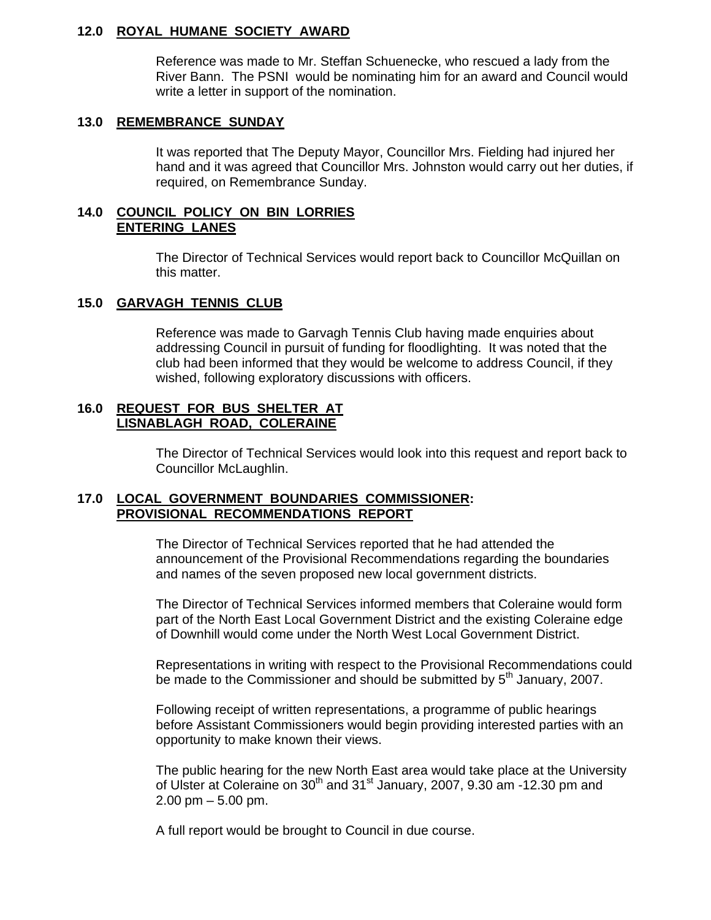#### **12.0 ROYAL HUMANE SOCIETY AWARD**

 Reference was made to Mr. Steffan Schuenecke, who rescued a lady from the River Bann. The PSNI would be nominating him for an award and Council would write a letter in support of the nomination.

#### **13.0 REMEMBRANCE SUNDAY**

It was reported that The Deputy Mayor, Councillor Mrs. Fielding had injured her hand and it was agreed that Councillor Mrs. Johnston would carry out her duties, if required, on Remembrance Sunday.

#### **14.0 COUNCIL POLICY ON BIN LORRIES ENTERING LANES**

 The Director of Technical Services would report back to Councillor McQuillan on this matter.

#### **15.0 GARVAGH TENNIS CLUB**

 Reference was made to Garvagh Tennis Club having made enquiries about addressing Council in pursuit of funding for floodlighting. It was noted that the club had been informed that they would be welcome to address Council, if they wished, following exploratory discussions with officers.

#### **16.0 REQUEST FOR BUS SHELTER AT LISNABLAGH ROAD, COLERAINE**

 The Director of Technical Services would look into this request and report back to Councillor McLaughlin.

### **17.0 LOCAL GOVERNMENT BOUNDARIES COMMISSIONER: PROVISIONAL RECOMMENDATIONS REPORT**

 The Director of Technical Services reported that he had attended the announcement of the Provisional Recommendations regarding the boundaries and names of the seven proposed new local government districts.

 The Director of Technical Services informed members that Coleraine would form part of the North East Local Government District and the existing Coleraine edge of Downhill would come under the North West Local Government District.

 Representations in writing with respect to the Provisional Recommendations could be made to the Commissioner and should be submitted by  $5<sup>th</sup>$  January, 2007.

 Following receipt of written representations, a programme of public hearings before Assistant Commissioners would begin providing interested parties with an opportunity to make known their views.

 The public hearing for the new North East area would take place at the University of Ulster at Coleraine on  $30<sup>th</sup>$  and  $31<sup>st</sup>$  January, 2007, 9.30 am -12.30 pm and  $2.00 \text{ pm} - 5.00 \text{ pm}$ .

A full report would be brought to Council in due course.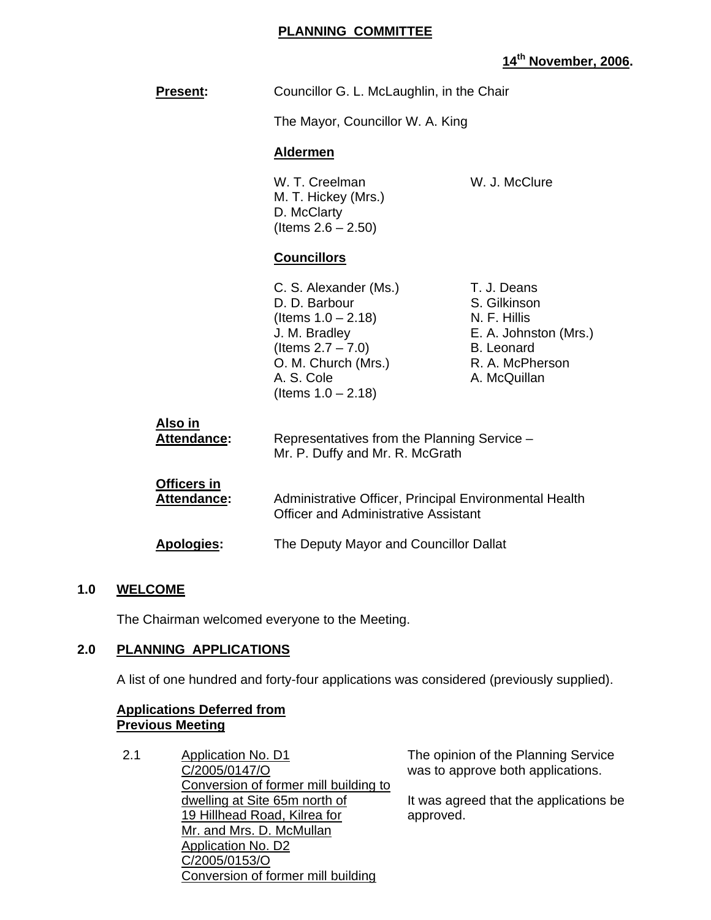#### **PLANNING COMMITTEE**

# **14th November, 2006.**

| <b>Present:</b>                   | Councillor G. L. McLaughlin, in the Chair                                                                                                                              |                                                                                                                              |
|-----------------------------------|------------------------------------------------------------------------------------------------------------------------------------------------------------------------|------------------------------------------------------------------------------------------------------------------------------|
|                                   | The Mayor, Councillor W. A. King                                                                                                                                       |                                                                                                                              |
|                                   | <b>Aldermen</b>                                                                                                                                                        |                                                                                                                              |
|                                   | W. T. Creelman<br>M. T. Hickey (Mrs.)<br>D. McClarty<br>(Items $2.6 - 2.50$ )                                                                                          | W. J. McClure                                                                                                                |
|                                   | <b>Councillors</b>                                                                                                                                                     |                                                                                                                              |
|                                   | C. S. Alexander (Ms.)<br>D. D. Barbour<br>(Items $1.0 - 2.18$ )<br>J. M. Bradley<br>(Items $2.7 - 7.0$ )<br>O. M. Church (Mrs.)<br>A. S. Cole<br>(Items $1.0 - 2.18$ ) | T. J. Deans<br>S. Gilkinson<br>N. F. Hillis<br>E. A. Johnston (Mrs.)<br><b>B.</b> Leonard<br>R. A. McPherson<br>A. McQuillan |
| <u>Also in</u><br>Attendance:     | Representatives from the Planning Service -<br>Mr. P. Duffy and Mr. R. McGrath                                                                                         |                                                                                                                              |
| Officers in<br><b>Attendance:</b> | Administrative Officer, Principal Environmental Health<br><b>Officer and Administrative Assistant</b>                                                                  |                                                                                                                              |
| Apologies:                        | The Deputy Mayor and Councillor Dallat                                                                                                                                 |                                                                                                                              |

#### **1.0 WELCOME**

The Chairman welcomed everyone to the Meeting.

#### **2.0 PLANNING APPLICATIONS**

A list of one hundred and forty-four applications was considered (previously supplied).

#### **Applications Deferred from Previous Meeting**

2.1 Application No. D1 C/2005/0147/O Conversion of former mill building to dwelling at Site 65m north of 19 Hillhead Road, Kilrea for Mr. and Mrs. D. McMullan Application No. D2 C/2005/0153/O Conversion of former mill building

The opinion of the Planning Service was to approve both applications.

It was agreed that the applications be approved.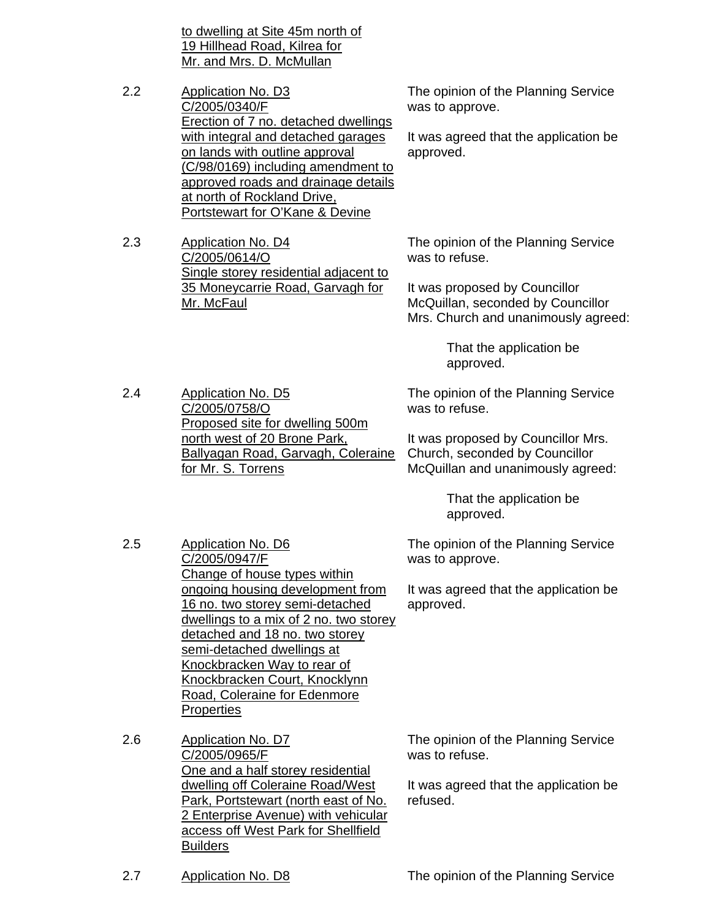to dwelling at Site 45m north of 19 Hillhead Road, Kilrea for Mr. and Mrs. D. McMullan

2.2 Application No. D3 C/2005/0340/F Erection of 7 no. detached dwellings with integral and detached garages on lands with outline approval (C/98/0169) including amendment to approved roads and drainage details at north of Rockland Drive, Portstewart for O'Kane & Devine

2.3 Application No. D4 C/2005/0614/O Single storey residential adjacent to 35 Moneycarrie Road, Garvagh for Mr. McFaul

> Proposed site for dwelling 500m north west of 20 Brone Park,

Ballyagan Road, Garvagh, Coleraine

2.4 Application No. D5

2.5 Application No. D6

C/2005/0947/F

C/2005/0758/O

for Mr. S. Torrens

The opinion of the Planning Service was to approve.

It was agreed that the application be approved.

The opinion of the Planning Service was to refuse.

It was proposed by Councillor McQuillan, seconded by Councillor Mrs. Church and unanimously agreed:

> That the application be approved.

The opinion of the Planning Service was to refuse.

It was proposed by Councillor Mrs. Church, seconded by Councillor McQuillan and unanimously agreed:

> That the application be approved.

The opinion of the Planning Service was to approve.

It was agreed that the application be approved.

Change of house types within ongoing housing development from 16 no. two storey semi-detached dwellings to a mix of 2 no. two storey detached and 18 no. two storey semi-detached dwellings at Knockbracken Way to rear of Knockbracken Court, Knocklynn Road, Coleraine for Edenmore **Properties** 

2.6 Application No. D7 C/2005/0965/F One and a half storey residential dwelling off Coleraine Road/West Park, Portstewart (north east of No. 2 Enterprise Avenue) with vehicular access off West Park for Shellfield **Builders** 

The opinion of the Planning Service was to refuse.

It was agreed that the application be refused.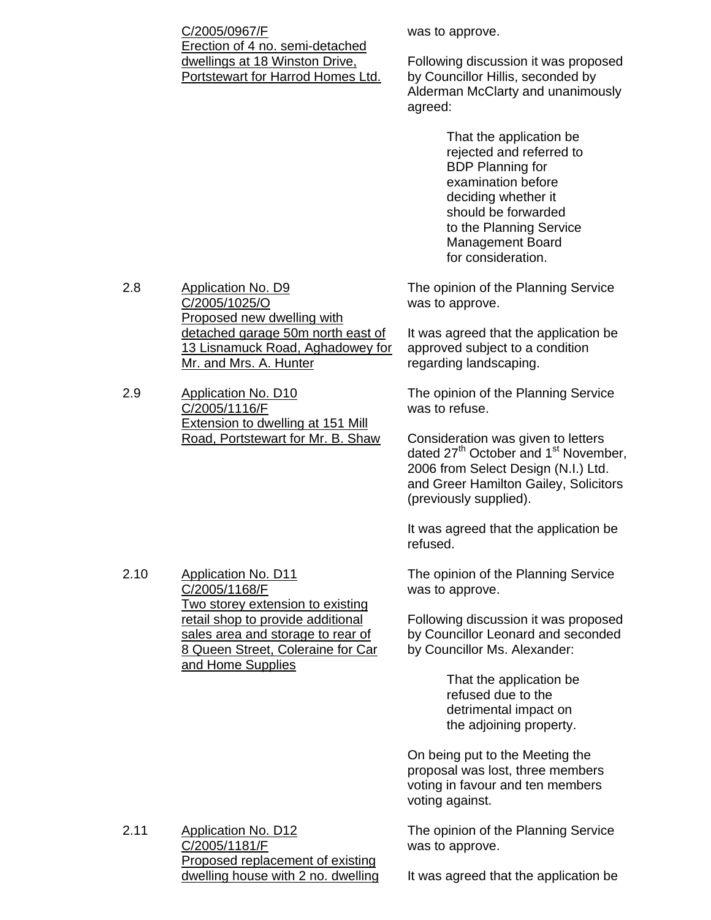C/2005/0967/F Erection of 4 no. semi-detached dwellings at 18 Winston Drive, Portstewart for Harrod Homes Ltd. was to approve.

Following discussion it was proposed by Councillor Hillis, seconded by Alderman McClarty and unanimously agreed:

> That the application be rejected and referred to BDP Planning for examination before deciding whether it should be forwarded to the Planning Service Management Board for consideration.

The opinion of the Planning Service was to approve.

It was agreed that the application be approved subject to a condition regarding landscaping.

The opinion of the Planning Service was to refuse.

Consideration was given to letters dated 27<sup>th</sup> October and 1<sup>st</sup> November, 2006 from Select Design (N.I.) Ltd. and Greer Hamilton Gailey, Solicitors (previously supplied).

It was agreed that the application be refused.

The opinion of the Planning Service was to approve.

Following discussion it was proposed by Councillor Leonard and seconded by Councillor Ms. Alexander:

> That the application be refused due to the detrimental impact on the adjoining property.

On being put to the Meeting the proposal was lost, three members voting in favour and ten members voting against.

The opinion of the Planning Service was to approve.

2.8 Application No. D9 C/2005/1025/O Proposed new dwelling with detached garage 50m north east of 13 Lisnamuck Road, Aghadowey for Mr. and Mrs. A. Hunter

2.9 Application No. D10 C/2005/1116/F Extension to dwelling at 151 Mill Road, Portstewart for Mr. B. Shaw

2.10 Application No. D11 C/2005/1168/F Two storey extension to existing retail shop to provide additional sales area and storage to rear of **8 Queen Street, Coleraine for Car** and Home Supplies

2.11 Application No. D12 C/2005/1181/F Proposed replacement of existing dwelling house with 2 no. dwelling

It was agreed that the application be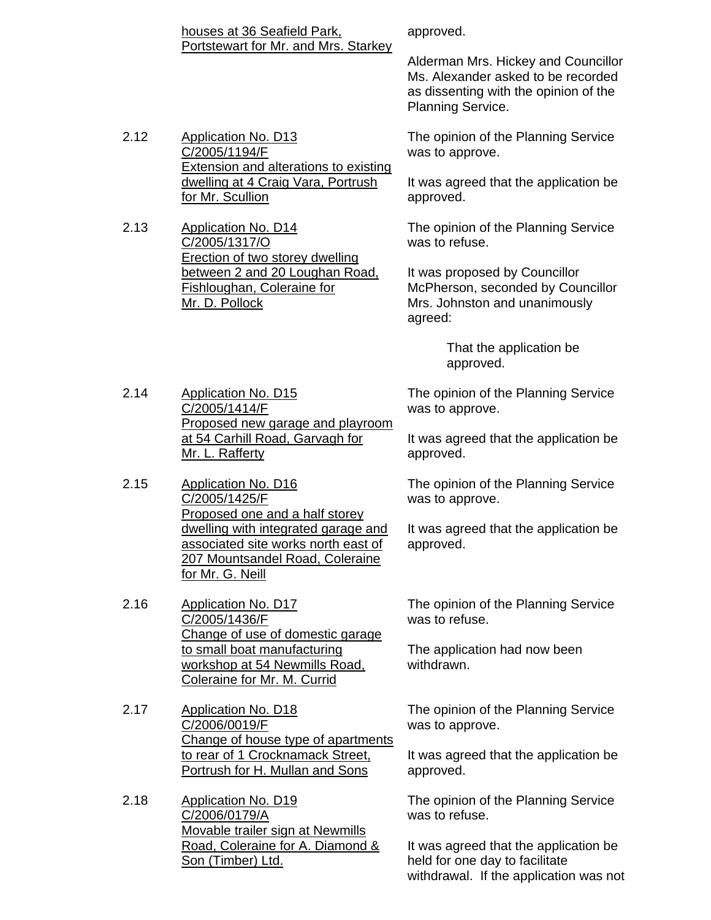| houses at 36 Seafield Park,          |  |
|--------------------------------------|--|
| Portstewart for Mr. and Mrs. Starkey |  |

approved.

Alderman Mrs. Hickey and Councillor Ms. Alexander asked to be recorded as dissenting with the opinion of the Planning Service.

The opinion of the Planning Service was to approve.

It was agreed that the application be approved.

The opinion of the Planning Service was to refuse.

It was proposed by Councillor McPherson, seconded by Councillor Mrs. Johnston and unanimously agreed:

> That the application be approved.

The opinion of the Planning Service was to approve.

It was agreed that the application be approved.

The opinion of the Planning Service was to approve.

It was agreed that the application be approved.

The opinion of the Planning Service was to refuse.

The application had now been withdrawn.

The opinion of the Planning Service was to approve.

It was agreed that the application be approved.

The opinion of the Planning Service was to refuse.

It was agreed that the application be held for one day to facilitate withdrawal. If the application was not

2.12 Application No. D13 C/2005/1194/F Extension and alterations to existing dwelling at 4 Craig Vara, Portrush for Mr. Scullion

2.13 Application No. D14 C/2005/1317/O Erection of two storey dwelling between 2 and 20 Loughan Road, Fishloughan, Coleraine for Mr. D. Pollock

2.14 Application No. D15 C/2005/1414/F Proposed new garage and playroom at 54 Carhill Road, Garvagh for Mr. L. Rafferty

2.15 Application No. D16 C/2005/1425/F Proposed one and a half storey dwelling with integrated garage and associated site works north east of 207 Mountsandel Road, Coleraine for Mr. G. Neill

2.16 Application No. D17 C/2005/1436/F Change of use of domestic garage to small boat manufacturing workshop at 54 Newmills Road, Coleraine for Mr. M. Currid

2.17 Application No. D18 C/2006/0019/F Change of house type of apartments to rear of 1 Crocknamack Street, Portrush for H. Mullan and Sons

2.18 Application No. D19 C/2006/0179/A Movable trailer sign at Newmills Road, Coleraine for A. Diamond & Son (Timber) Ltd.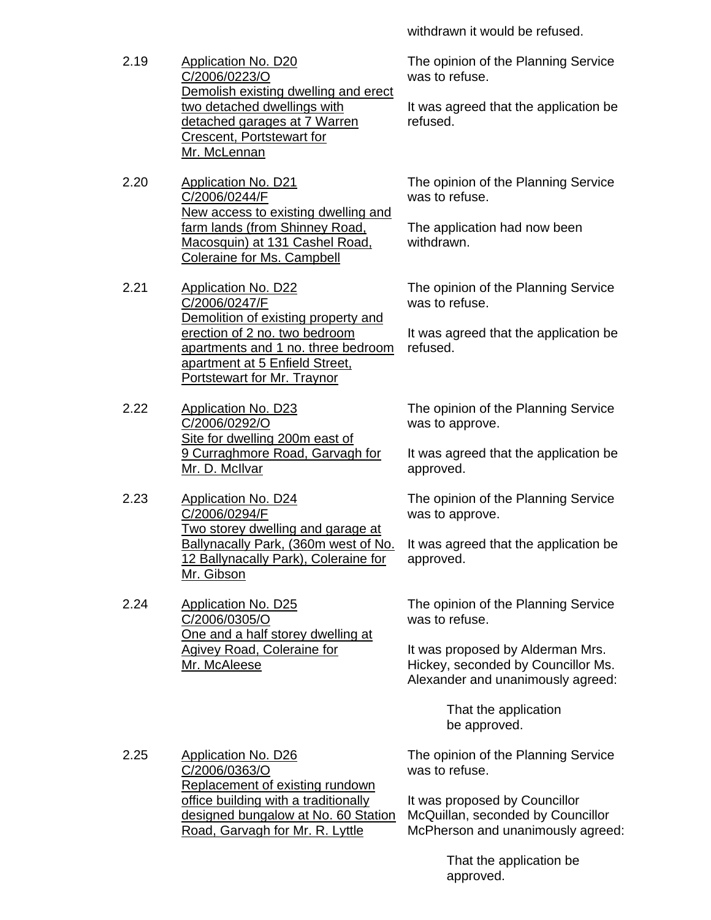withdrawn it would be refused.

- 2.19 Application No. D20 C/2006/0223/O Demolish existing dwelling and erect two detached dwellings with detached garages at 7 Warren Crescent, Portstewart for Mr. McLennan
- 2.20 Application No. D21 C/2006/0244/F New access to existing dwelling and farm lands (from Shinney Road, Macosquin) at 131 Cashel Road, Coleraine for Ms. Campbell
- 2.21 Application No. D22 C/2006/0247/F Demolition of existing property and erection of 2 no. two bedroom apartments and 1 no. three bedroom apartment at 5 Enfield Street, Portstewart for Mr. Traynor
- 2.22 Application No. D23 C/2006/0292/O Site for dwelling 200m east of 9 Curraghmore Road, Garvagh for Mr. D. McIlvar
- 2.23 Application No. D24 C/2006/0294/F Two storey dwelling and garage at Ballynacally Park, (360m west of No. 12 Ballynacally Park), Coleraine for Mr. Gibson
- 2.24 Application No. D25 C/2006/0305/O One and a half storey dwelling at Agivey Road, Coleraine for Mr. McAleese

The opinion of the Planning Service was to refuse.

It was agreed that the application be refused.

The opinion of the Planning Service was to refuse.

The application had now been withdrawn.

The opinion of the Planning Service was to refuse.

It was agreed that the application be refused.

The opinion of the Planning Service was to approve.

It was agreed that the application be approved.

The opinion of the Planning Service was to approve.

It was agreed that the application be approved.

The opinion of the Planning Service was to refuse.

It was proposed by Alderman Mrs. Hickey, seconded by Councillor Ms. Alexander and unanimously agreed:

> That the application be approved.

2.25 Application No. D26 C/2006/0363/O Replacement of existing rundown office building with a traditionally designed bungalow at No. 60 Station Road, Garvagh for Mr. R. Lyttle

The opinion of the Planning Service was to refuse.

It was proposed by Councillor McQuillan, seconded by Councillor McPherson and unanimously agreed:

> That the application be approved.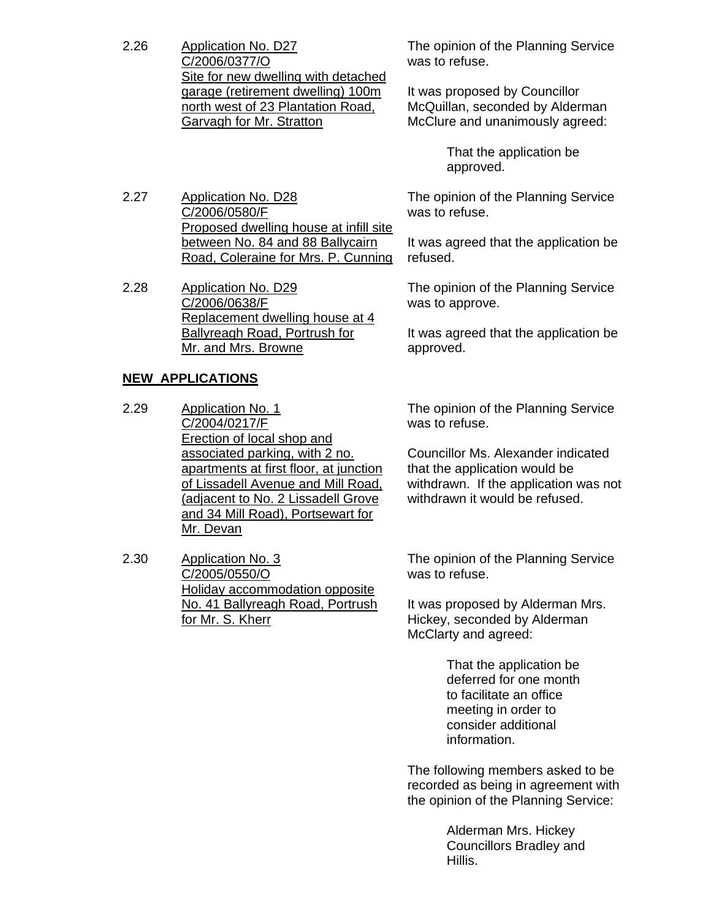- 2.26 Application No. D27 C/2006/0377/O Site for new dwelling with detached garage (retirement dwelling) 100m north west of 23 Plantation Road, Garvagh for Mr. Stratton
- 2.27 Application No. D28 C/2006/0580/F Proposed dwelling house at infill site between No. 84 and 88 Ballycairn Road, Coleraine for Mrs. P. Cunning
- 2.28 Application No. D29 C/2006/0638/F Replacement dwelling house at 4 Ballyreagh Road, Portrush for Mr. and Mrs. Browne

#### **NEW APPLICATIONS**

- 2.29 Application No. 1 C/2004/0217/F Erection of local shop and associated parking, with 2 no. apartments at first floor, at junction of Lissadell Avenue and Mill Road, (adjacent to No. 2 Lissadell Grove and 34 Mill Road), Portsewart for Mr. Devan
- 2.30 Application No. 3 C/2005/0550/O Holiday accommodation opposite No. 41 Ballyreagh Road, Portrush for Mr. S. Kherr

The opinion of the Planning Service was to refuse.

It was proposed by Councillor McQuillan, seconded by Alderman McClure and unanimously agreed:

> That the application be approved.

The opinion of the Planning Service was to refuse.

It was agreed that the application be refused.

The opinion of the Planning Service was to approve.

It was agreed that the application be approved.

The opinion of the Planning Service was to refuse.

Councillor Ms. Alexander indicated that the application would be withdrawn. If the application was not withdrawn it would be refused.

The opinion of the Planning Service was to refuse.

It was proposed by Alderman Mrs. Hickey, seconded by Alderman McClarty and agreed:

> That the application be deferred for one month to facilitate an office meeting in order to consider additional information.

The following members asked to be recorded as being in agreement with the opinion of the Planning Service:

> Alderman Mrs. Hickey Councillors Bradley and Hillis.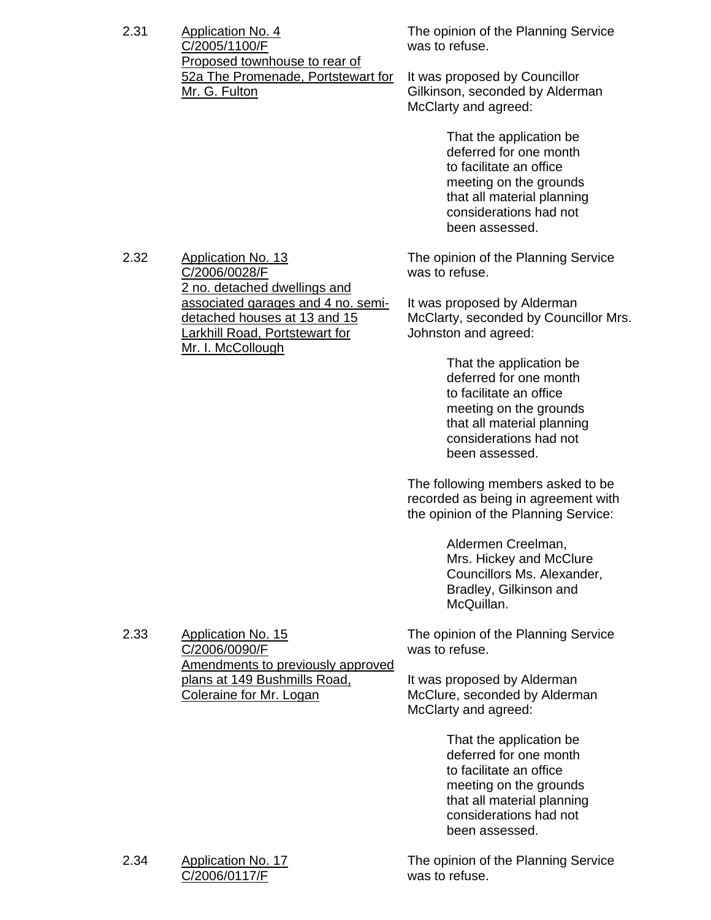| 2.31 | Application No. 4                  |  |
|------|------------------------------------|--|
|      | C/2005/1100/F                      |  |
|      | Proposed townhouse to rear of      |  |
|      | 52a The Promenade, Portstewart for |  |
|      | Mr. G. Fulton                      |  |

The opinion of the Planning Service was to refuse.

It was proposed by Councillor Gilkinson, seconded by Alderman McClarty and agreed:

> That the application be deferred for one month to facilitate an office meeting on the grounds that all material planning considerations had not been assessed.

The opinion of the Planning Service was to refuse.

It was proposed by Alderman McClarty, seconded by Councillor Mrs. Johnston and agreed:

> That the application be deferred for one month to facilitate an office meeting on the grounds that all material planning considerations had not been assessed.

The following members asked to be recorded as being in agreement with the opinion of the Planning Service:

> Aldermen Creelman, Mrs. Hickey and McClure Councillors Ms. Alexander, Bradley, Gilkinson and McQuillan.

The opinion of the Planning Service was to refuse.

It was proposed by Alderman McClure, seconded by Alderman McClarty and agreed:

> That the application be deferred for one month to facilitate an office meeting on the grounds that all material planning considerations had not been assessed.

The opinion of the Planning Service was to refuse.

2.32 Application No. 13 C/2006/0028/F 2 no. detached dwellings and associated garages and 4 no. semidetached houses at 13 and 15 Larkhill Road, Portstewart for Mr. I. McCollough

2.33 Application No. 15 C/2006/0090/F Amendments to previously approved plans at 149 Bushmills Road, Coleraine for Mr. Logan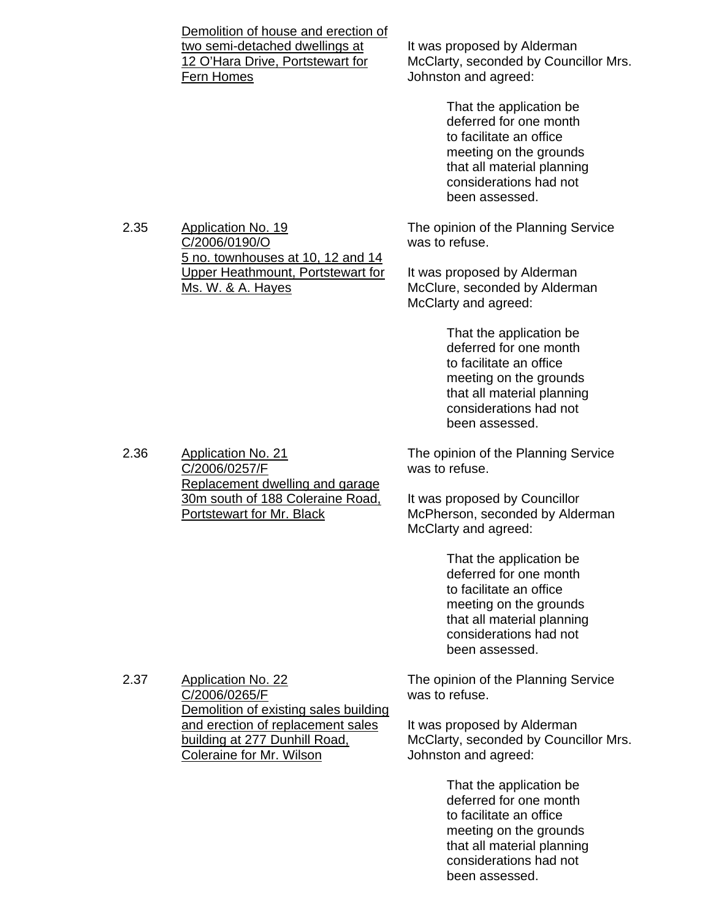|      | Demolition of house and erection of<br>two semi-detached dwellings at<br>12 O'Hara Drive, Portstewart for<br>Fern Homes                 | It was proposed by Alderman<br>McClarty, seconded by Councillor Mrs.<br>Johnston and agreed:                                                                                     |
|------|-----------------------------------------------------------------------------------------------------------------------------------------|----------------------------------------------------------------------------------------------------------------------------------------------------------------------------------|
|      |                                                                                                                                         | That the application be<br>deferred for one month<br>to facilitate an office<br>meeting on the grounds<br>that all material planning<br>considerations had not<br>been assessed. |
| 2.35 | <b>Application No. 19</b><br>C/2006/0190/O                                                                                              | The opinion of the Planning Service<br>was to refuse.                                                                                                                            |
|      | 5 no. townhouses at 10, 12 and 14<br>Upper Heathmount, Portstewart for<br>Ms. W. & A. Hayes                                             | It was proposed by Alderman<br>McClure, seconded by Alderman<br>McClarty and agreed:                                                                                             |
|      |                                                                                                                                         | That the application be<br>deferred for one month<br>to facilitate an office<br>meeting on the grounds<br>that all material planning<br>considerations had not<br>been assessed. |
| 2.36 | <b>Application No. 21</b><br>C/2006/0257/F<br>Replacement dwelling and garage                                                           | The opinion of the Planning Service<br>was to refuse.                                                                                                                            |
|      | 30m south of 188 Coleraine Road,<br>Portstewart for Mr. Black                                                                           | It was proposed by Councillor<br>McPherson, seconded by Alderman<br>McClarty and agreed:                                                                                         |
|      |                                                                                                                                         | That the application be<br>deferred for one month<br>to facilitate an office<br>meeting on the grounds<br>that all material planning<br>considerations had not<br>been assessed. |
| 2.37 | <b>Application No. 22</b><br>C/2006/0265/F                                                                                              | The opinion of the Planning Service<br>was to refuse.                                                                                                                            |
|      | Demolition of existing sales building<br>and erection of replacement sales<br>building at 277 Dunhill Road,<br>Coleraine for Mr. Wilson | It was proposed by Alderman<br>McClarty, seconded by Councillor Mrs.<br>Johnston and agreed:                                                                                     |
|      |                                                                                                                                         | That the application be<br>deferred for one month<br>to facilitate an office<br>meeting on the grounds<br>that all material planning<br>considerations had not<br>been assessed. |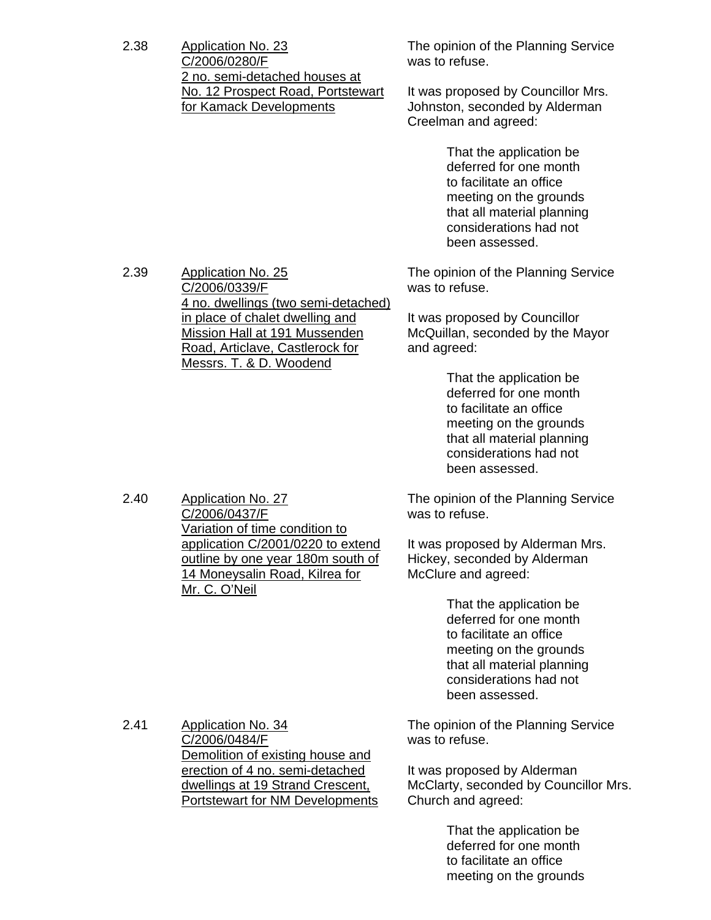2.38 Application No. 23 C/2006/0280/F 2 no. semi-detached houses at No. 12 Prospect Road, Portstewart for Kamack Developments

2.39 Application No. 25

C/2006/0339/F

4 no. dwellings (two semi-detached) in place of chalet dwelling and Mission Hall at 191 Mussenden Road, Articlave, Castlerock for Messrs. T. & D. Woodend

The opinion of the Planning Service was to refuse.

It was proposed by Councillor Mrs. Johnston, seconded by Alderman Creelman and agreed:

> That the application be deferred for one month to facilitate an office meeting on the grounds that all material planning considerations had not been assessed.

The opinion of the Planning Service was to refuse.

It was proposed by Councillor McQuillan, seconded by the Mayor and agreed:

> That the application be deferred for one month to facilitate an office meeting on the grounds that all material planning considerations had not been assessed.

The opinion of the Planning Service was to refuse.

It was proposed by Alderman Mrs. Hickey, seconded by Alderman McClure and agreed:

> That the application be deferred for one month to facilitate an office meeting on the grounds that all material planning considerations had not been assessed.

2.41 Application No. 34 C/2006/0484/F Demolition of existing house and erection of 4 no. semi-detached dwellings at 19 Strand Crescent, Portstewart for NM Developments The opinion of the Planning Service was to refuse.

It was proposed by Alderman McClarty, seconded by Councillor Mrs. Church and agreed:

> That the application be deferred for one month to facilitate an office meeting on the grounds

2.40 Application No. 27 C/2006/0437/F Variation of time condition to application C/2001/0220 to extend outline by one year 180m south of 14 Moneysalin Road, Kilrea for Mr. C. O'Neil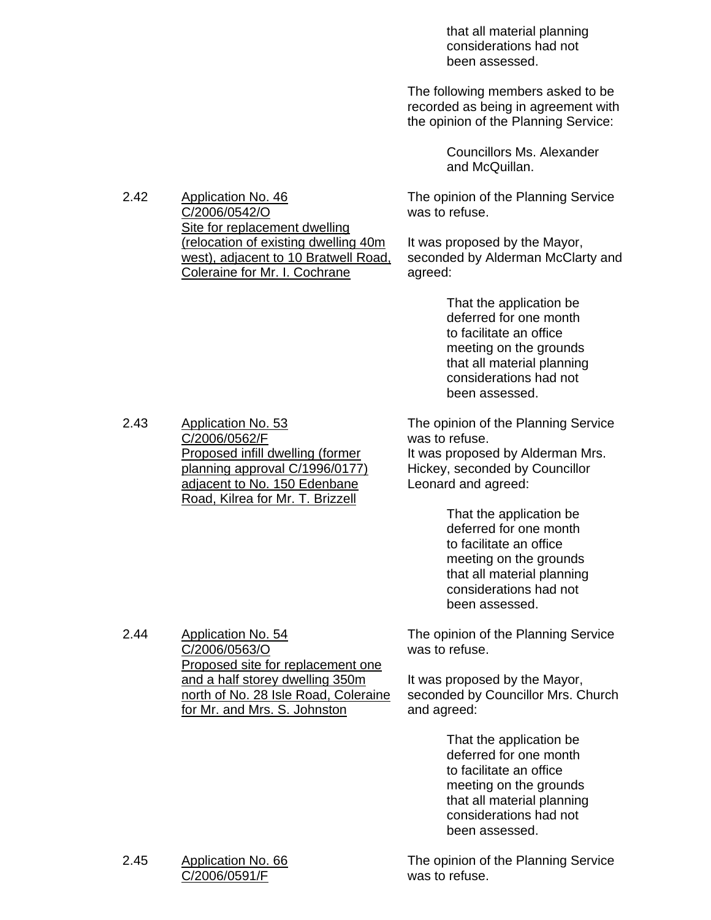that all material planning considerations had not been assessed.

 The following members asked to be recorded as being in agreement with the opinion of the Planning Service:

> Councillors Ms. Alexander and McQuillan.

The opinion of the Planning Service was to refuse.

It was proposed by the Mayor, seconded by Alderman McClarty and agreed:

> That the application be deferred for one month to facilitate an office meeting on the grounds that all material planning considerations had not been assessed.

The opinion of the Planning Service was to refuse.

It was proposed by Alderman Mrs. Hickey, seconded by Councillor Leonard and agreed:

> That the application be deferred for one month to facilitate an office meeting on the grounds that all material planning considerations had not been assessed.

The opinion of the Planning Service was to refuse.

It was proposed by the Mayor, seconded by Councillor Mrs. Church and agreed:

> That the application be deferred for one month to facilitate an office meeting on the grounds that all material planning considerations had not been assessed.

The opinion of the Planning Service was to refuse.

2.42 Application No. 46 C/2006/0542/O Site for replacement dwelling (relocation of existing dwelling 40m west), adjacent to 10 Bratwell Road, Coleraine for Mr. I. Cochrane

2.43 Application No. 53 C/2006/0562/F Proposed infill dwelling (former planning approval C/1996/0177) adjacent to No. 150 Edenbane Road, Kilrea for Mr. T. Brizzell

2.44 Application No. 54 C/2006/0563/O Proposed site for replacement one and a half storey dwelling 350m north of No. 28 Isle Road, Coleraine for Mr. and Mrs. S. Johnston

#### 2.45 Application No. 66 C/2006/0591/F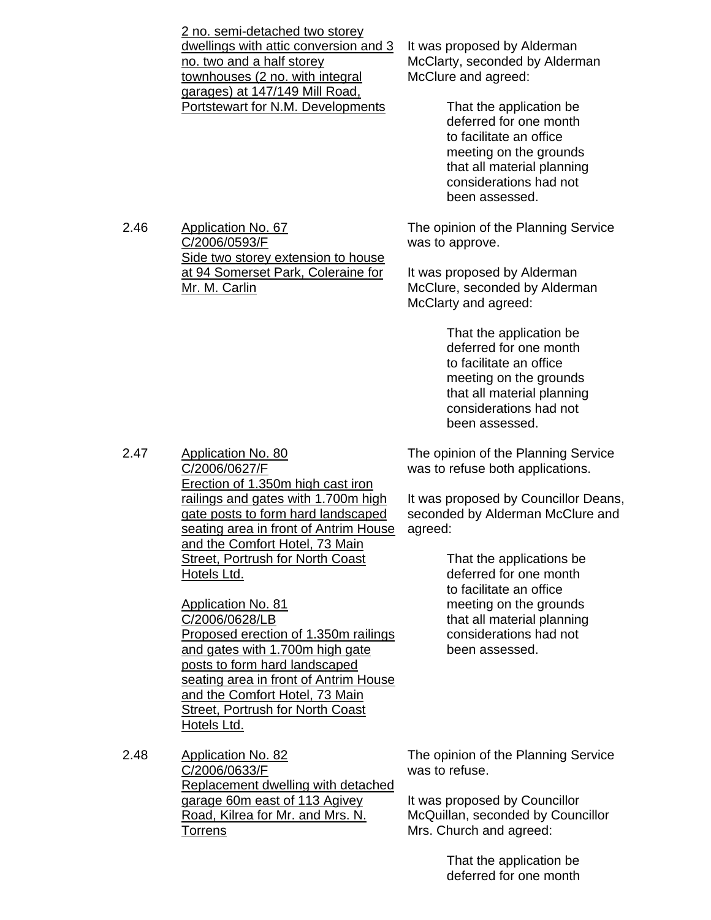| 2 no. semi-detached two storey<br>dwellings with attic conversion and 3<br>no. two and a half storey<br>townhouses (2 no. with integral<br>garages) at 147/149 Mill Road.<br>Portstewart for N.M. Developments                 | It was pro<br><b>McClarty</b><br><b>McClure</b><br>Tł<br>$d\epsilon$<br>to<br>m<br>th<br>CO<br>be |
|--------------------------------------------------------------------------------------------------------------------------------------------------------------------------------------------------------------------------------|---------------------------------------------------------------------------------------------------|
| <b>Application No. 67</b><br>C/2006/0593/F<br>Side two storey extension to house                                                                                                                                               | The opini<br>was to ap                                                                            |
| at 94 Somerset Park, Coleraine for<br>Mr. M. Carlin                                                                                                                                                                            | It was pro<br>McClure,<br><b>McClarty</b>                                                         |
|                                                                                                                                                                                                                                | Th<br>$d\epsilon$<br>to<br>m<br>th<br>$_{\rm CO}$<br>be                                           |
| <b>Application No. 80</b><br>C/2006/0627/F                                                                                                                                                                                     | The opini<br>was to re                                                                            |
| Erection of 1.350m high cast iron<br>railings and gates with 1.700m high<br>gate posts to form hard landscaped<br>seating area in front of Antrim House<br>and the Comfort Hotel, 73 Main                                      | It was pro<br>seconde<br>agreed:                                                                  |
| <b>Street, Portrush for North Coast</b><br>Hotels Ltd.                                                                                                                                                                         | Th<br>de<br>to                                                                                    |
| <b>Application No. 81</b><br>C/2006/0628/LB                                                                                                                                                                                    | m<br>th                                                                                           |
| Proposed erection of 1.350m railings<br>and gates with 1.700m high gate<br>posts to form hard landscaped<br>seating area in front of Antrim House<br>and the Comfort Hotel, 73 Main<br><b>Street, Portrush for North Coast</b> | $_{\rm CO}$<br>be                                                                                 |

 $2.46$ 

 $2.47$ 

poosed by Alderman , seconded by Alderman and agreed:

> nat the application be eferred for one month facilitate an office eeting on the grounds at all material planning considerations had not en assessed.

ion of the Planning Service pprove.

posed by Alderman seconded by Alderman and agreed:

> at the application be eferred for one month facilitate an office eeting on the grounds at all material planning considerations had not en assessed.

ion of the Planning Service fuse both applications.

oposed by Councillor Deans, d by Alderman McClure and

> nat the applications be ferred for one month facilitate an office eeting on the grounds at all material planning onsiderations had not en assessed.

2.48 Application No. 82 C/2006/0633/F Replacement dwelling with detached garage 60m east of 113 Agivey Road, Kilrea for Mr. and Mrs. N. **Torrens** 

Hotels Ltd.

The opinion of the Planning Service was to refuse.

It was proposed by Councillor McQuillan, seconded by Councillor Mrs. Church and agreed:

> That the application be deferred for one month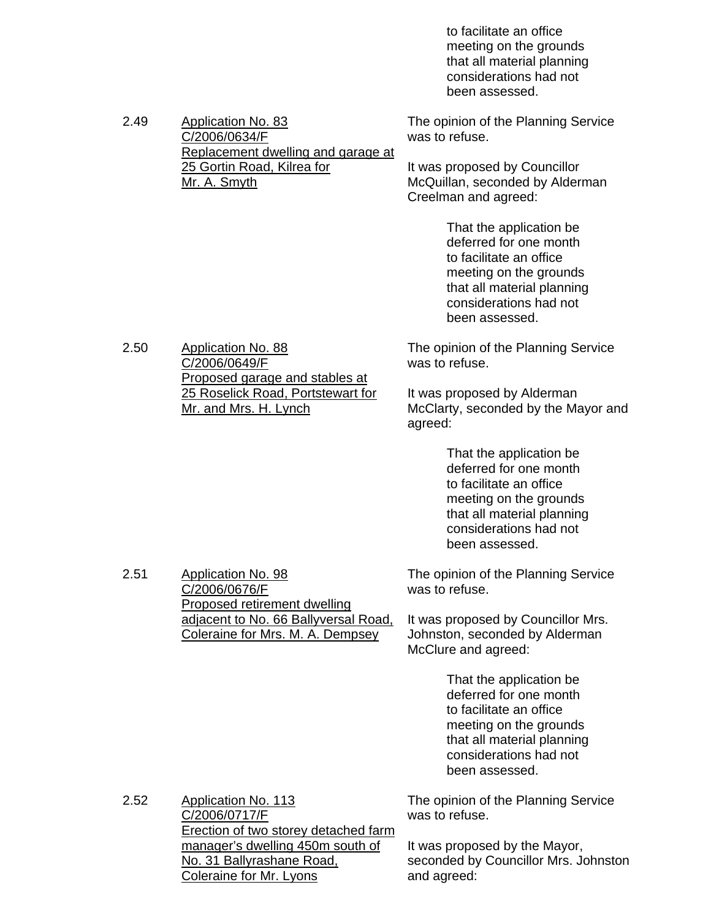to facilitate an office meeting on the grounds that all material planning considerations had not been assessed.

2.49 Application No. 83 C/2006/0634/F Replacement dwelling and garage at 25 Gortin Road, Kilrea for Mr. A. Smyth The opinion of the Planning Service was to refuse. It was proposed by Councillor McQuillan, seconded by Alderman Creelman and agreed: That the application be deferred for one month to facilitate an office meeting on the grounds that all material planning considerations had not been assessed. 2.50 Application No. 88 C/2006/0649/F The opinion of the Planning Service was to refuse.

> It was proposed by Alderman McClarty, seconded by the Mayor and agreed:

> > That the application be deferred for one month to facilitate an office meeting on the grounds that all material planning considerations had not been assessed.

The opinion of the Planning Service was to refuse.

It was proposed by Councillor Mrs. Johnston, seconded by Alderman McClure and agreed:

> That the application be deferred for one month to facilitate an office meeting on the grounds that all material planning considerations had not been assessed.

C/2006/0717/F Erection of two storey detached farm manager's dwelling 450m south of No. 31 Ballyrashane Road, The opinion of the Planning Service was to refuse. It was proposed by the Mayor,

seconded by Councillor Mrs. Johnston and agreed:

Proposed garage and stables at 25 Roselick Road, Portstewart for Mr. and Mrs. H. Lynch

2.52 Application No. 113

2.51 Application No. 98 C/2006/0676/F

Coleraine for Mr. Lyons

Proposed retirement dwelling adjacent to No. 66 Ballyversal Road, Coleraine for Mrs. M. A. Dempsey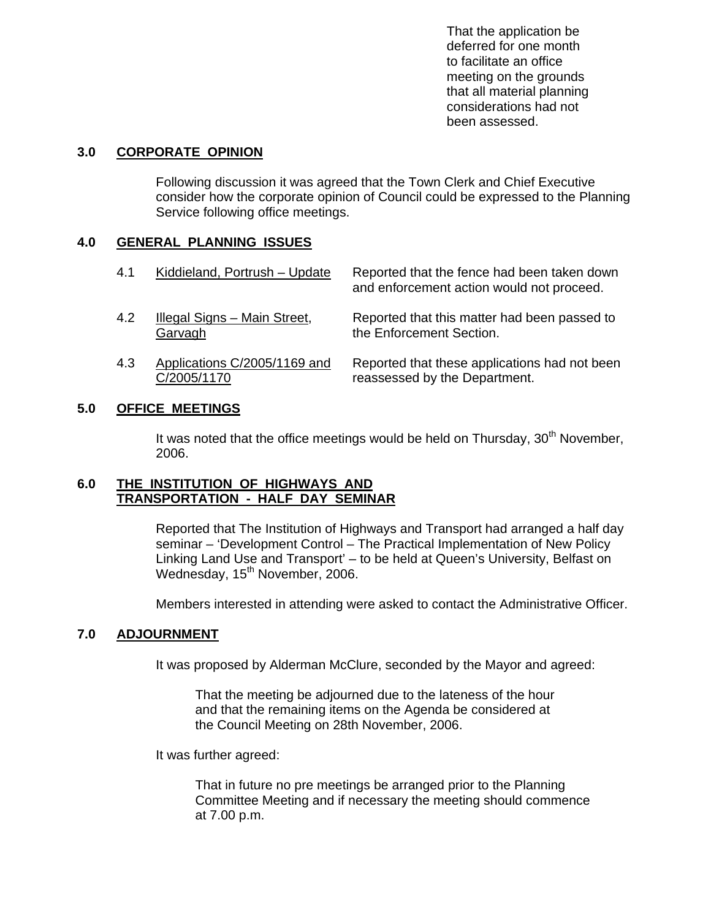That the application be deferred for one month to facilitate an office meeting on the grounds that all material planning considerations had not been assessed.

#### **3.0 CORPORATE OPINION**

 Following discussion it was agreed that the Town Clerk and Chief Executive consider how the corporate opinion of Council could be expressed to the Planning Service following office meetings.

### **4.0 GENERAL PLANNING ISSUES**

| 4.1 | Kiddieland, Portrush - Update                  | Reported that the fence had been taken down<br>and enforcement action would not proceed. |
|-----|------------------------------------------------|------------------------------------------------------------------------------------------|
| 4.2 | <b>Illegal Signs - Main Street,</b><br>Garvagh | Reported that this matter had been passed to<br>the Enforcement Section.                 |
| 4.3 | Applications C/2005/1169 and<br>C/2005/1170    | Reported that these applications had not been<br>reassessed by the Department.           |

### **5.0 OFFICE MEETINGS**

It was noted that the office meetings would be held on Thursday,  $30<sup>th</sup>$  November, 2006.

### **6.0 THE INSTITUTION OF HIGHWAYS AND TRANSPORTATION - HALF DAY SEMINAR**

 Reported that The Institution of Highways and Transport had arranged a half day seminar – 'Development Control – The Practical Implementation of New Policy Linking Land Use and Transport' – to be held at Queen's University, Belfast on Wednesday, 15<sup>th</sup> November, 2006.

Members interested in attending were asked to contact the Administrative Officer.

# **7.0 ADJOURNMENT**

It was proposed by Alderman McClure, seconded by the Mayor and agreed:

 That the meeting be adjourned due to the lateness of the hour and that the remaining items on the Agenda be considered at the Council Meeting on 28th November, 2006.

It was further agreed:

 That in future no pre meetings be arranged prior to the Planning Committee Meeting and if necessary the meeting should commence at 7.00 p.m.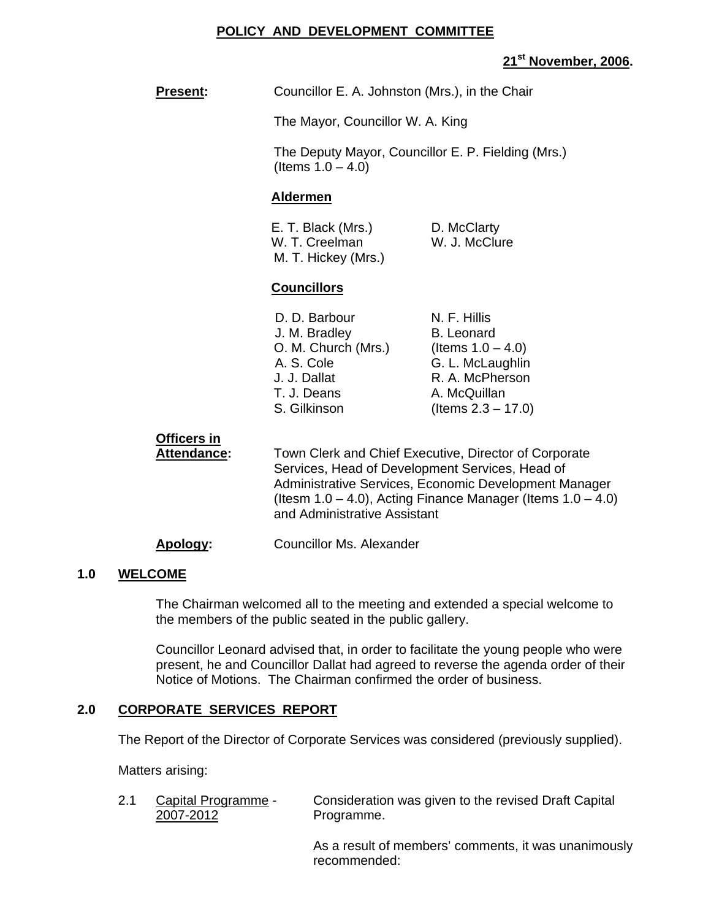### **POLICY AND DEVELOPMENT COMMITTEE**

# **21st November, 2006.**

**Present:** Councillor E. A. Johnston (Mrs.), in the Chair

The Mayor, Councillor W. A. King

 The Deputy Mayor, Councillor E. P. Fielding (Mrs.) (Items  $1.0 - 4.0$ )

### **Aldermen**

| E. T. Black (Mrs.)  | D. McClarty   |
|---------------------|---------------|
| W. T. Creelman      | W. J. McClure |
| M. T. Hickey (Mrs.) |               |

### **Councillors**

| D. D. Barbour       | N. F. Hillis          |
|---------------------|-----------------------|
| J. M. Bradley       | <b>B.</b> Leonard     |
| O. M. Church (Mrs.) | (Items $1.0 - 4.0$ )  |
| A. S. Cole          | G. L. McLaughlin      |
| J. J. Dallat        | R. A. McPherson       |
| T. J. Deans         | A. McQuillan          |
| S. Gilkinson        | (Items $2.3 - 17.0$ ) |

# **Officers in**

Attendance: Town Clerk and Chief Executive, Director of Corporate Services, Head of Development Services, Head of Administrative Services, Economic Development Manager (Itesm  $1.0 - 4.0$ ), Acting Finance Manager (Items  $1.0 - 4.0$ ) and Administrative Assistant

#### **Apology:** Councillor Ms. Alexander

#### **1.0 WELCOME**

The Chairman welcomed all to the meeting and extended a special welcome to the members of the public seated in the public gallery.

Councillor Leonard advised that, in order to facilitate the young people who were present, he and Councillor Dallat had agreed to reverse the agenda order of their Notice of Motions. The Chairman confirmed the order of business.

# **2.0 CORPORATE SERVICES REPORT**

The Report of the Director of Corporate Services was considered (previously supplied).

Matters arising:

2.1 Capital Programme - Consideration was given to the revised Draft Capital 2007-2012 Programme.

> As a result of members' comments, it was unanimously recommended: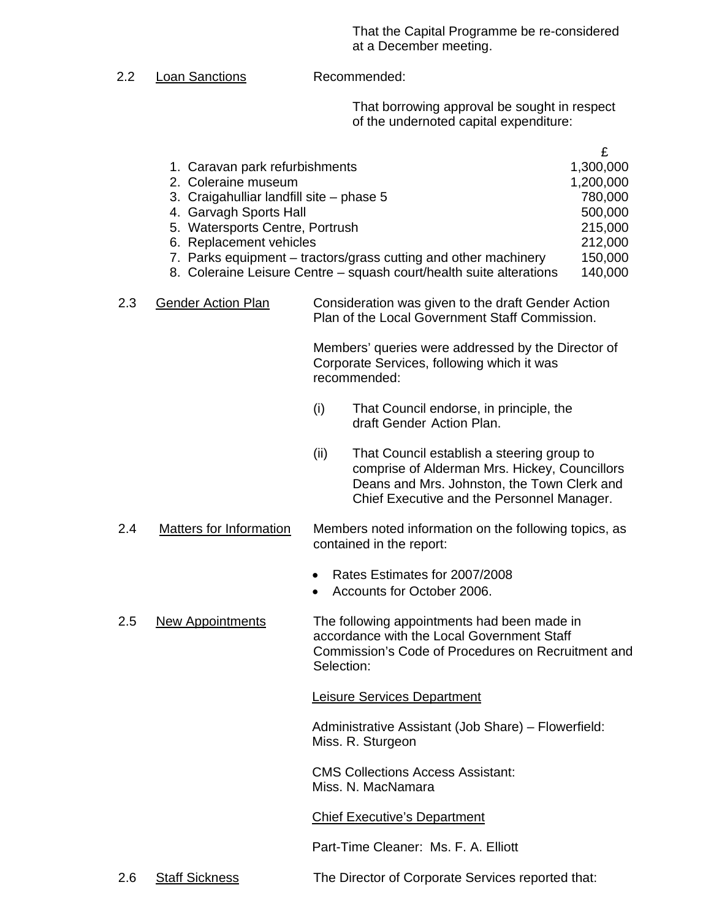That the Capital Programme be re-considered at a December meeting.

2.2 Loan Sanctions Recommended:

That borrowing approval be sought in respect of the undernoted capital expenditure:

| 1. Caravan park refurbishments                                      | 1,300,000 |
|---------------------------------------------------------------------|-----------|
| 2. Coleraine museum                                                 | 1,200,000 |
| 3. Craigahulliar landfill site – phase 5                            | 780,000   |
| 4. Garvagh Sports Hall                                              | 500,000   |
| 5. Watersports Centre, Portrush                                     | 215,000   |
| 6. Replacement vehicles                                             | 212,000   |
| 7. Parks equipment – tractors/grass cutting and other machinery     | 150,000   |
| 8. Coleraine Leisure Centre – squash court/health suite alterations | 140,000   |

 2.3 Gender Action Plan Consideration was given to the draft Gender Action Plan of the Local Government Staff Commission.

> Members' queries were addressed by the Director of Corporate Services, following which it was recommended:

- (i) That Council endorse, in principle, the draft Gender Action Plan.
- (ii) That Council establish a steering group to comprise of Alderman Mrs. Hickey, Councillors Deans and Mrs. Johnston, the Town Clerk and Chief Executive and the Personnel Manager.
- 2.4 Matters for Information Members noted information on the following topics, as contained in the report:
	- Rates Estimates for 2007/2008
	- Accounts for October 2006.
- 2.5 New Appointments The following appointments had been made in accordance with the Local Government Staff Commission's Code of Procedures on Recruitment and Selection:

Leisure Services Department

Administrative Assistant (Job Share) – Flowerfield: Miss. R. Sturgeon

CMS Collections Access Assistant: Miss. N. MacNamara

Chief Executive's Department

Part-Time Cleaner: Ms. F. A. Elliott

2.6 Staff Sickness The Director of Corporate Services reported that: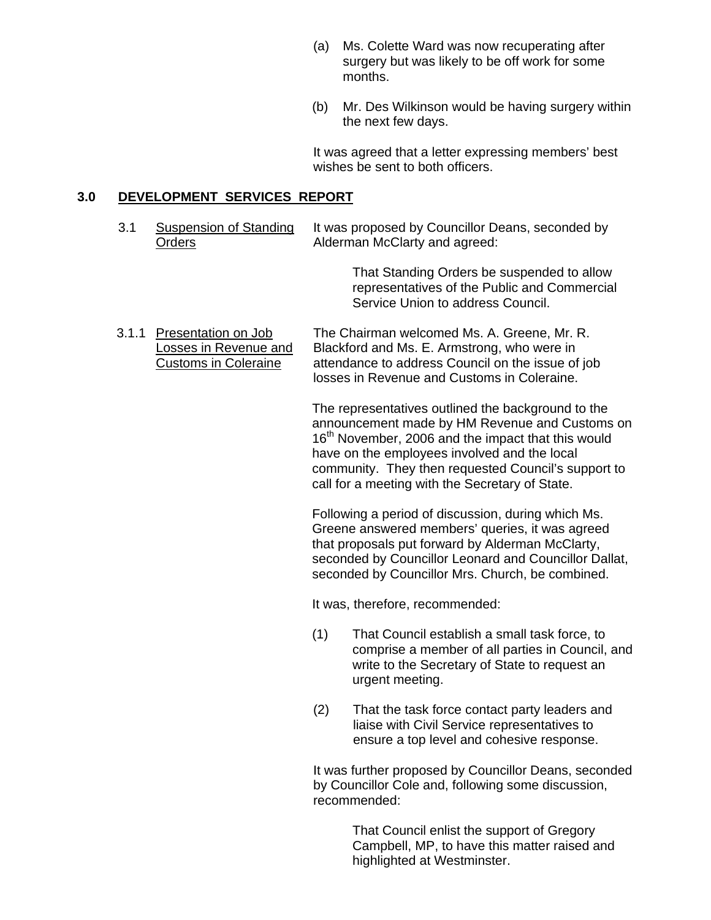- (a) Ms. Colette Ward was now recuperating after surgery but was likely to be off work for some months.
- (b) Mr. Des Wilkinson would be having surgery within the next few days.

It was agreed that a letter expressing members' best wishes be sent to both officers.

#### **3.0 DEVELOPMENT SERVICES REPORT**

3.1 Suspension of Standing It was proposed by Councillor Deans, seconded by Orders **Alderman McClarty and agreed:** 

> That Standing Orders be suspended to allow representatives of the Public and Commercial Service Union to address Council.

 3.1.1 Presentation on Job The Chairman welcomed Ms. A. Greene, Mr. R. Losses in Revenue and Blackford and Ms. E. Armstrong, who were in Customs in Coleraine attendance to address Council on the issue of job losses in Revenue and Customs in Coleraine.

> The representatives outlined the background to the announcement made by HM Revenue and Customs on 16<sup>th</sup> November, 2006 and the impact that this would have on the employees involved and the local community. They then requested Council's support to call for a meeting with the Secretary of State.

Following a period of discussion, during which Ms. Greene answered members' queries, it was agreed that proposals put forward by Alderman McClarty, seconded by Councillor Leonard and Councillor Dallat, seconded by Councillor Mrs. Church, be combined.

It was, therefore, recommended:

- (1) That Council establish a small task force, to comprise a member of all parties in Council, and write to the Secretary of State to request an urgent meeting.
- (2) That the task force contact party leaders and liaise with Civil Service representatives to ensure a top level and cohesive response.

 It was further proposed by Councillor Deans, seconded by Councillor Cole and, following some discussion, recommended:

> That Council enlist the support of Gregory Campbell, MP, to have this matter raised and highlighted at Westminster.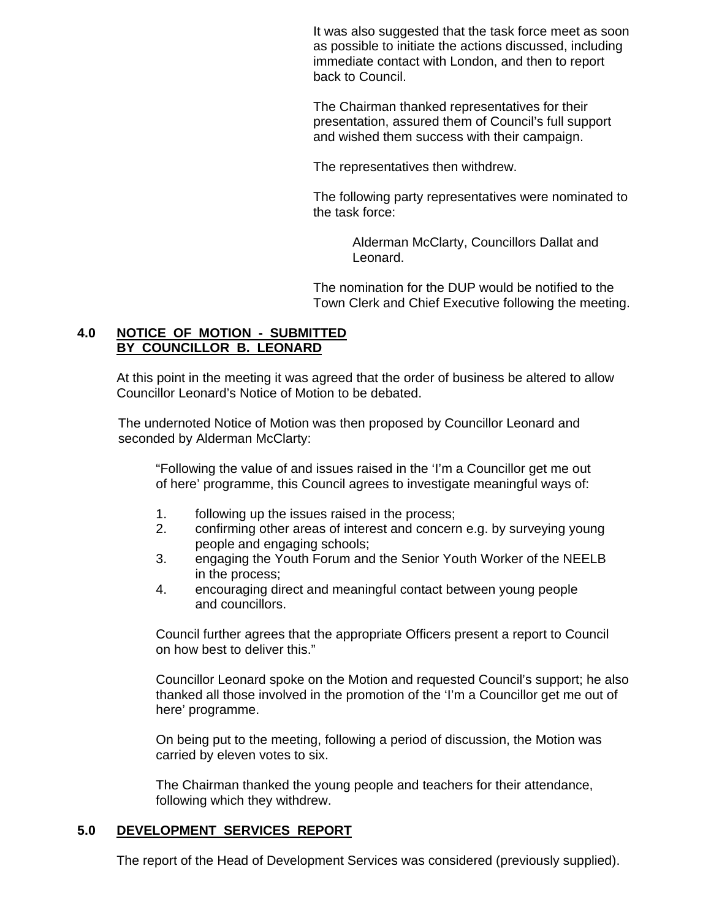It was also suggested that the task force meet as soon as possible to initiate the actions discussed, including immediate contact with London, and then to report back to Council.

The Chairman thanked representatives for their presentation, assured them of Council's full support and wished them success with their campaign.

The representatives then withdrew.

The following party representatives were nominated to the task force:

> Alderman McClarty, Councillors Dallat and Leonard.

The nomination for the DUP would be notified to the Town Clerk and Chief Executive following the meeting.

#### **4.0 NOTICE OF MOTION - SUBMITTED BY COUNCILLOR B. LEONARD**

 At this point in the meeting it was agreed that the order of business be altered to allow Councillor Leonard's Notice of Motion to be debated.

The undernoted Notice of Motion was then proposed by Councillor Leonard and seconded by Alderman McClarty:

"Following the value of and issues raised in the 'I'm a Councillor get me out of here' programme, this Council agrees to investigate meaningful ways of:

- 1. following up the issues raised in the process;
- 2. confirming other areas of interest and concern e.g. by surveying young people and engaging schools;
- 3. engaging the Youth Forum and the Senior Youth Worker of the NEELB in the process;
- 4. encouraging direct and meaningful contact between young people and councillors.

Council further agrees that the appropriate Officers present a report to Council on how best to deliver this."

 Councillor Leonard spoke on the Motion and requested Council's support; he also thanked all those involved in the promotion of the 'I'm a Councillor get me out of here' programme.

On being put to the meeting, following a period of discussion, the Motion was carried by eleven votes to six.

The Chairman thanked the young people and teachers for their attendance, following which they withdrew.

# **5.0 DEVELOPMENT SERVICES REPORT**

The report of the Head of Development Services was considered (previously supplied).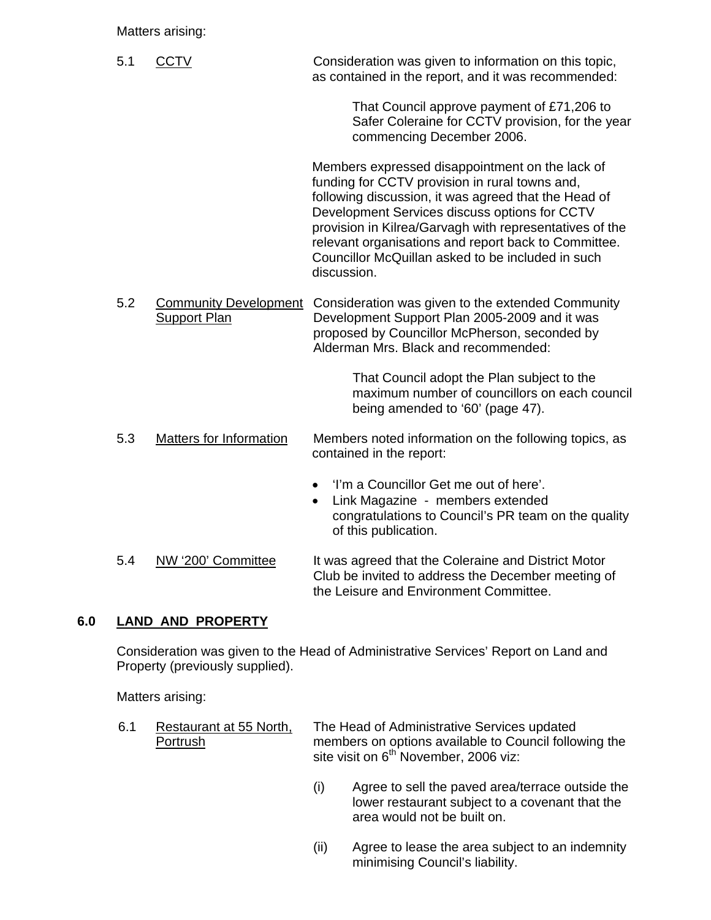### Matters arising:

5.1 CCTV Consideration was given to information on this topic, as contained in the report, and it was recommended:

> That Council approve payment of £71,206 to Safer Coleraine for CCTV provision, for the year commencing December 2006.

Members expressed disappointment on the lack of funding for CCTV provision in rural towns and, following discussion, it was agreed that the Head of Development Services discuss options for CCTV provision in Kilrea/Garvagh with representatives of the relevant organisations and report back to Committee. Councillor McQuillan asked to be included in such discussion.

 5.2 Community Development Consideration was given to the extended Community Support Plan Development Support Plan 2005-2009 and it was proposed by Councillor McPherson, seconded by Alderman Mrs. Black and recommended:

> That Council adopt the Plan subject to the maximum number of councillors on each council being amended to '60' (page 47).

- 5.3 Matters for Information Members noted information on the following topics, as contained in the report:
	- 'I'm a Councillor Get me out of here'.
	- Link Magazine members extended congratulations to Council's PR team on the quality of this publication.
- 5.4 NW '200' Committee It was agreed that the Coleraine and District Motor Club be invited to address the December meeting of the Leisure and Environment Committee.

# **6.0 LAND AND PROPERTY**

 Consideration was given to the Head of Administrative Services' Report on Land and Property (previously supplied).

Matters arising:

- 6.1 Restaurant at 55 North, The Head of Administrative Services updated Portrush members on options available to Council following the site visit on  $6<sup>th</sup>$  November, 2006 viz:
	- (i) Agree to sell the paved area/terrace outside the lower restaurant subject to a covenant that the area would not be built on.
	- (ii) Agree to lease the area subject to an indemnity minimising Council's liability.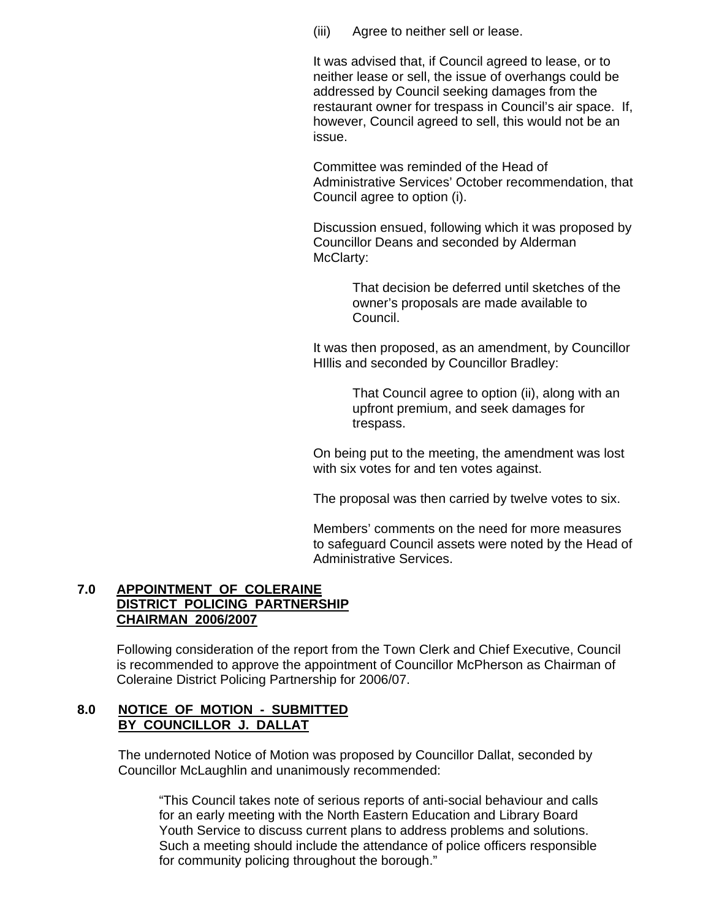(iii) Agree to neither sell or lease.

It was advised that, if Council agreed to lease, or to neither lease or sell, the issue of overhangs could be addressed by Council seeking damages from the restaurant owner for trespass in Council's air space. If, however, Council agreed to sell, this would not be an issue.

Committee was reminded of the Head of Administrative Services' October recommendation, that Council agree to option (i).

Discussion ensued, following which it was proposed by Councillor Deans and seconded by Alderman McClarty:

> That decision be deferred until sketches of the owner's proposals are made available to Council.

It was then proposed, as an amendment, by Councillor HIllis and seconded by Councillor Bradley:

> That Council agree to option (ii), along with an upfront premium, and seek damages for trespass.

 On being put to the meeting, the amendment was lost with six votes for and ten votes against.

The proposal was then carried by twelve votes to six.

Members' comments on the need for more measures to safeguard Council assets were noted by the Head of Administrative Services.

#### **7.0 APPOINTMENT OF COLERAINE DISTRICT POLICING PARTNERSHIP CHAIRMAN 2006/2007**

 Following consideration of the report from the Town Clerk and Chief Executive, Council is recommended to approve the appointment of Councillor McPherson as Chairman of Coleraine District Policing Partnership for 2006/07.

#### **8.0 NOTICE OF MOTION - SUBMITTED BY COUNCILLOR J. DALLAT**

 The undernoted Notice of Motion was proposed by Councillor Dallat, seconded by Councillor McLaughlin and unanimously recommended:

"This Council takes note of serious reports of anti-social behaviour and calls for an early meeting with the North Eastern Education and Library Board Youth Service to discuss current plans to address problems and solutions. Such a meeting should include the attendance of police officers responsible for community policing throughout the borough."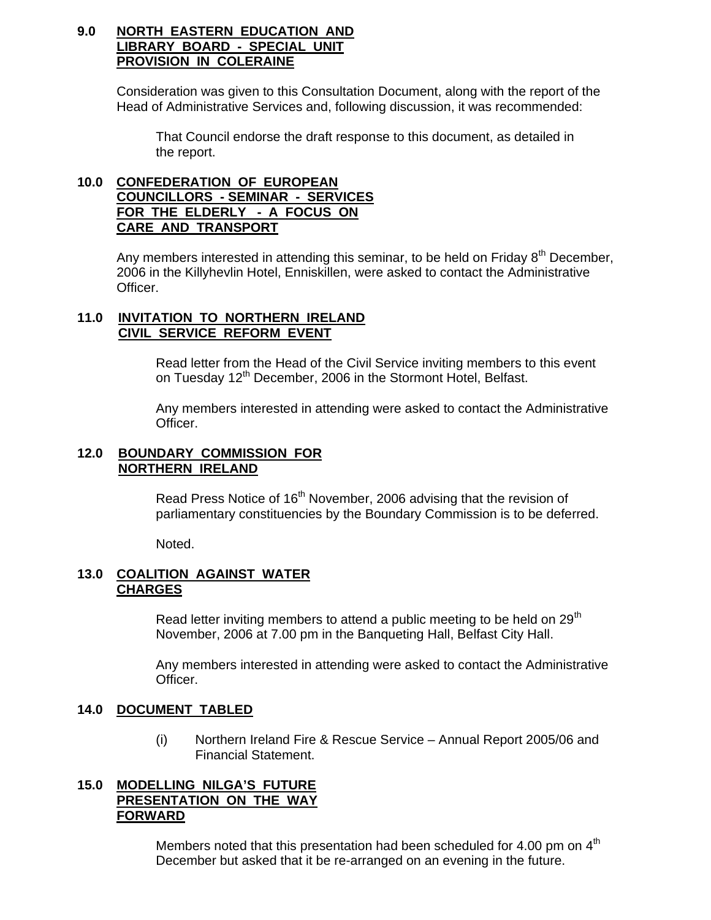#### **9.0 NORTH EASTERN EDUCATION AND LIBRARY BOARD - SPECIAL UNIT PROVISION IN COLERAINE**

 Consideration was given to this Consultation Document, along with the report of the Head of Administrative Services and, following discussion, it was recommended:

 That Council endorse the draft response to this document, as detailed in the report.

### **10.0 CONFEDERATION OF EUROPEAN COUNCILLORS - SEMINAR - SERVICES FOR THE ELDERLY - A FOCUS ON CARE AND TRANSPORT**

Any members interested in attending this seminar, to be held on Friday  $8<sup>th</sup>$  December, 2006 in the Killyhevlin Hotel, Enniskillen, were asked to contact the Administrative Officer.

#### **11.0 INVITATION TO NORTHERN IRELAND CIVIL SERVICE REFORM EVENT**

Read letter from the Head of the Civil Service inviting members to this event on Tuesday 12<sup>th</sup> December, 2006 in the Stormont Hotel, Belfast.

Any members interested in attending were asked to contact the Administrative Officer.

#### **12.0 BOUNDARY COMMISSION FOR NORTHERN IRELAND**

Read Press Notice of 16<sup>th</sup> November, 2006 advising that the revision of parliamentary constituencies by the Boundary Commission is to be deferred.

Noted.

#### **13.0 COALITION AGAINST WATER CHARGES**

Read letter inviting members to attend a public meeting to be held on  $29<sup>th</sup>$ November, 2006 at 7.00 pm in the Banqueting Hall, Belfast City Hall.

Any members interested in attending were asked to contact the Administrative Officer.

#### **14.0 DOCUMENT TABLED**

 (i) Northern Ireland Fire & Rescue Service – Annual Report 2005/06 and Financial Statement.

#### **15.0 MODELLING NILGA'S FUTURE PRESENTATION ON THE WAY FORWARD**

Members noted that this presentation had been scheduled for 4.00 pm on 4<sup>th</sup> December but asked that it be re-arranged on an evening in the future.